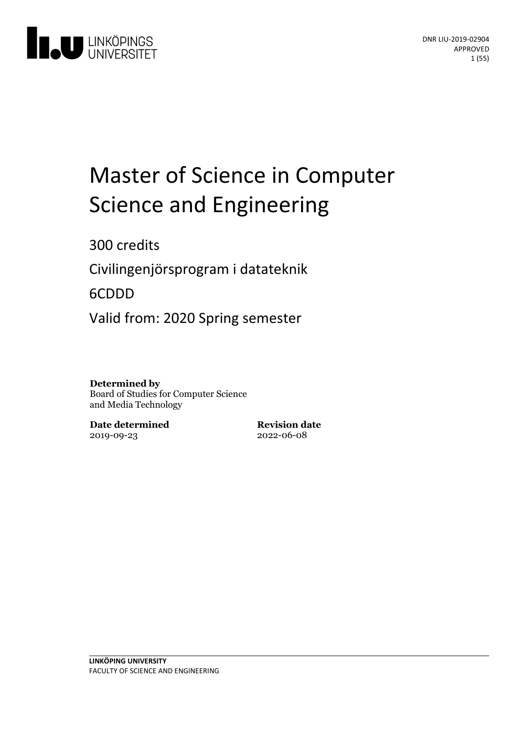

# Master of Science in Computer Science and Engineering

300 credits

Civilingenjörsprogram i datateknik

6CDDD

Valid from: 2020 Spring semester

#### **Determined by**

Board of Studies for Computer Science and Media Technology

**Date determined** 2019-09-23

**Revision date** 2022-06-08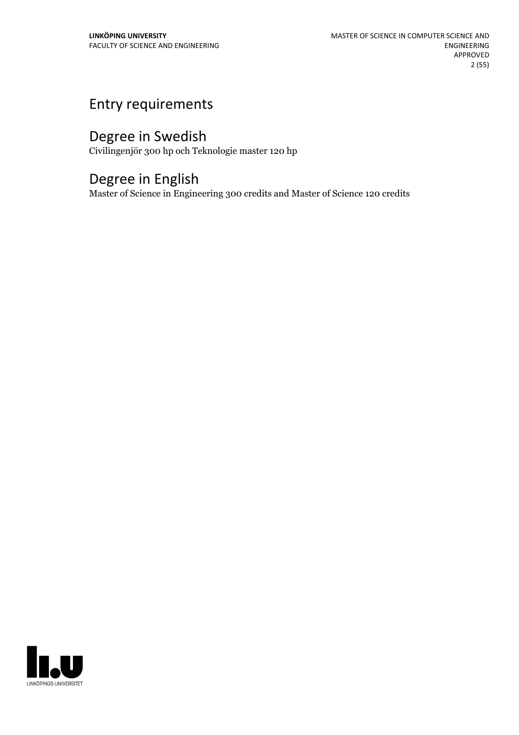# Entry requirements

# Degree in Swedish

Civilingenjör 300 hp och Teknologie master 120 hp

# Degree in English

Master of Science in Engineering 300 credits and Master of Science 120 credits

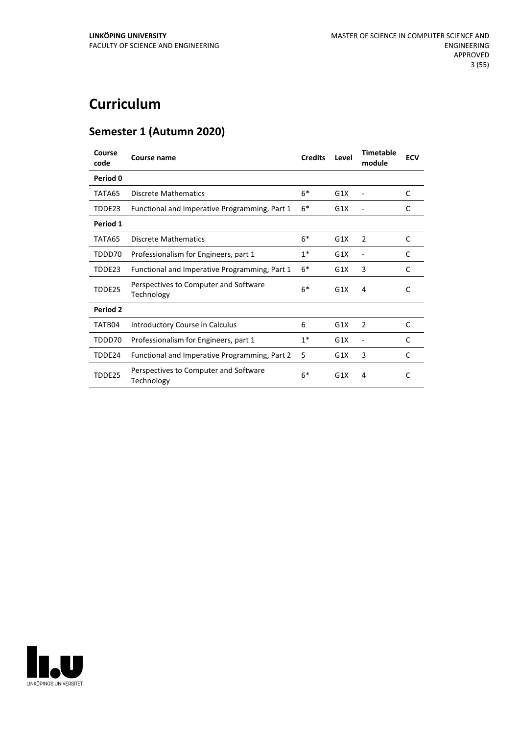# **Curriculum**

# **Semester 1 (Autumn 2020)**

| Course<br>code | Course name                                         | <b>Credits</b> | Level | <b>Timetable</b><br>module | <b>ECV</b> |
|----------------|-----------------------------------------------------|----------------|-------|----------------------------|------------|
| Period 0       |                                                     |                |       |                            |            |
| TATA65         | <b>Discrete Mathematics</b>                         | $6*$           | G1X   |                            | C          |
| TDDE23         | Functional and Imperative Programming, Part 1       | $6*$           | G1X   |                            | C          |
| Period 1       |                                                     |                |       |                            |            |
| TATA65         | <b>Discrete Mathematics</b>                         | $6*$           | G1X   | 2                          | C          |
| TDDD70         | Professionalism for Engineers, part 1               | $1*$           | G1X   | ۰                          | C          |
| TDDE23         | Functional and Imperative Programming, Part 1       | $6*$           | G1X   | 3                          | C          |
| TDDE25         | Perspectives to Computer and Software<br>Technology | $6*$           | G1X   | 4                          | C          |
| Period 2       |                                                     |                |       |                            |            |
| TATB04         | Introductory Course in Calculus                     | 6              | G1X   | 2                          | C          |
| TDDD70         | Professionalism for Engineers, part 1               | $1*$           | G1X   |                            | C          |
| TDDE24         | Functional and Imperative Programming, Part 2       | 5              | G1X   | 3                          | C          |
| TDDE25         | Perspectives to Computer and Software<br>Technology | $6*$           | G1X   | 4                          | C          |

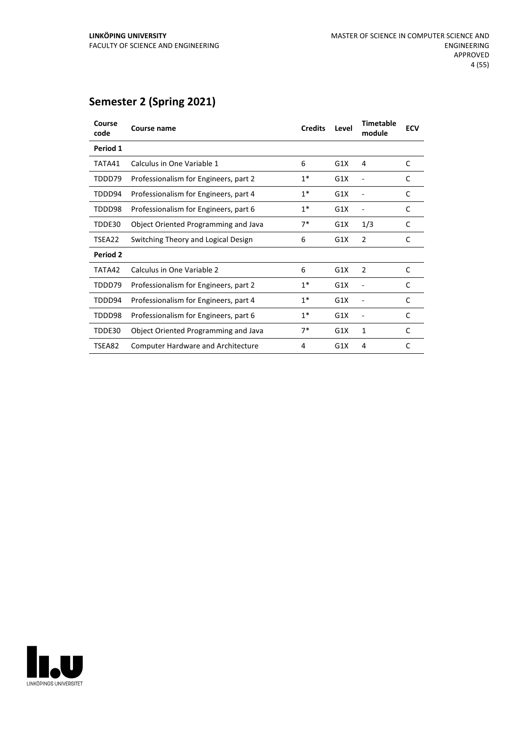# **Semester 2 (Spring 2021)**

| Course<br>code | <b>Course name</b>                        | <b>Credits</b> | Level | <b>Timetable</b><br>module | <b>ECV</b> |
|----------------|-------------------------------------------|----------------|-------|----------------------------|------------|
| Period 1       |                                           |                |       |                            |            |
| TATA41         | Calculus in One Variable 1                | 6              | G1X   | 4                          | C          |
| TDDD79         | Professionalism for Engineers, part 2     | $1^*$          | G1X   |                            | C          |
| TDDD94         | Professionalism for Engineers, part 4     | $1*$           | G1X   |                            | C          |
| TDDD98         | Professionalism for Engineers, part 6     | $1*$           | G1X   |                            | C          |
| TDDE30         | Object Oriented Programming and Java      | $7*$           | G1X   | 1/3                        | C          |
| TSEA22         | Switching Theory and Logical Design       | 6              | G1X   | $\overline{2}$             | C          |
| Period 2       |                                           |                |       |                            |            |
| TATA42         | Calculus in One Variable 2                | 6              | G1X   | 2                          | C          |
| TDDD79         | Professionalism for Engineers, part 2     | $1*$           | G1X   |                            | C          |
| TDDD94         | Professionalism for Engineers, part 4     | $1^*$          | G1X   |                            | C          |
| TDDD98         | Professionalism for Engineers, part 6     | $1^*$          | G1X   |                            | C          |
| TDDE30         | Object Oriented Programming and Java      | $7*$           | G1X   | 1                          | C          |
| TSEA82         | <b>Computer Hardware and Architecture</b> | 4              | G1X   | 4                          | C          |

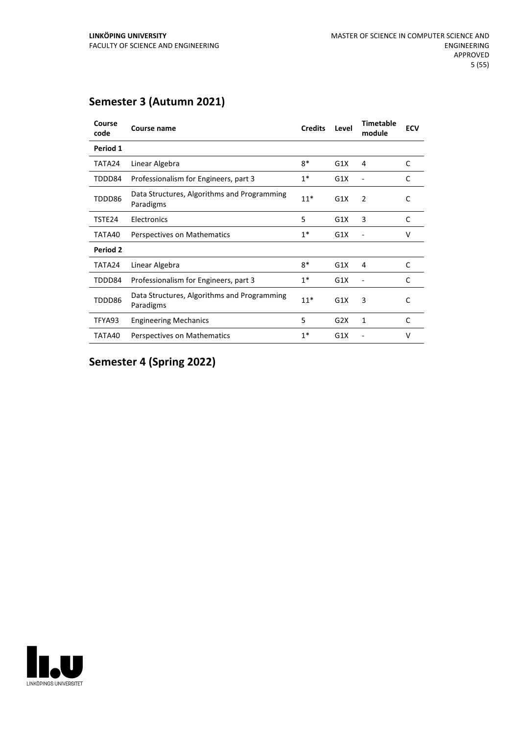# **Semester 3 (Autumn 2021)**

| Course<br>code | Course name                                              | <b>Credits</b> | Level | <b>Timetable</b><br>module | <b>ECV</b> |
|----------------|----------------------------------------------------------|----------------|-------|----------------------------|------------|
| Period 1       |                                                          |                |       |                            |            |
| TATA24         | Linear Algebra                                           | $8*$           | G1X   | 4                          | C          |
| TDDD84         | Professionalism for Engineers, part 3                    | $1^*$          | G1X   |                            | C          |
| TDDD86         | Data Structures, Algorithms and Programming<br>Paradigms | $11*$          | G1X   | 2                          | C          |
| TSTE24         | Electronics                                              | 5              | G1X   | 3                          | C          |
| TATA40         | Perspectives on Mathematics                              | $1^*$          | G1X   |                            | v          |
| Period 2       |                                                          |                |       |                            |            |
| TATA24         | Linear Algebra                                           | $R^*$          | G1X   | 4                          | C          |
| TDDD84         | Professionalism for Engineers, part 3                    | $1^*$          | G1X   |                            | C          |
| TDDD86         | Data Structures, Algorithms and Programming<br>Paradigms | $11*$          | G1X   | 3                          | C          |
| TFYA93         | <b>Engineering Mechanics</b>                             | 5              | G2X   | 1                          | C          |
| TATA40         | Perspectives on Mathematics                              | $1^*$          | G1X   |                            | v          |

# **Semester 4 (Spring 2022)**

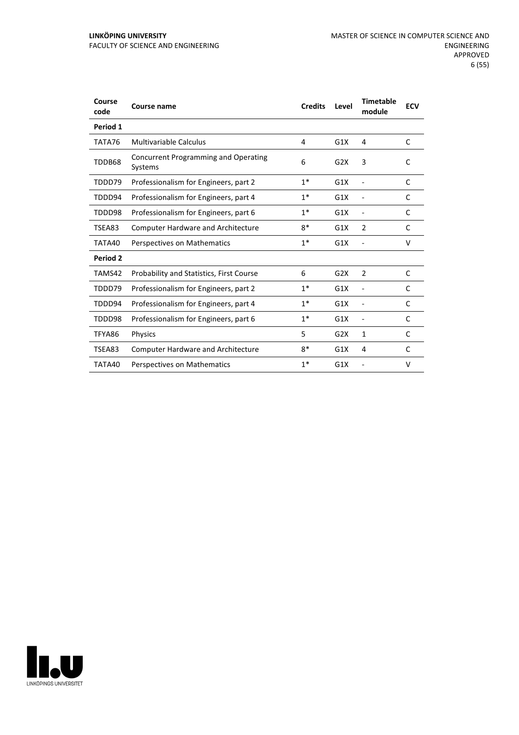| Course<br>code | <b>Course name</b>                              | <b>Credits</b> | Level | <b>Timetable</b><br>module | <b>ECV</b> |
|----------------|-------------------------------------------------|----------------|-------|----------------------------|------------|
| Period 1       |                                                 |                |       |                            |            |
| TATA76         | <b>Multivariable Calculus</b>                   | 4              | G1X   | 4                          | C          |
| TDDB68         | Concurrent Programming and Operating<br>Systems | 6              | G2X   | 3                          | C          |
| TDDD79         | Professionalism for Engineers, part 2           | $1*$           | G1X   |                            | C          |
| TDDD94         | Professionalism for Engineers, part 4           | $1^*$          | G1X   | $\overline{a}$             | C          |
| TDDD98         | Professionalism for Engineers, part 6           | $1*$           | G1X   | $\overline{\phantom{a}}$   | C          |
| TSEA83         | <b>Computer Hardware and Architecture</b>       | $8*$           | G1X   | $\overline{2}$             | C          |
| TATA40         | Perspectives on Mathematics                     | $1*$           | G1X   |                            | V          |
| Period 2       |                                                 |                |       |                            |            |
| TAMS42         | <b>Probability and Statistics, First Course</b> | 6              | G2X   | 2                          | C          |
| TDDD79         | Professionalism for Engineers, part 2           | $1^*$          | G1X   | $\overline{\phantom{a}}$   | C          |
| TDDD94         | Professionalism for Engineers, part 4           | $1*$           | G1X   | $\overline{\phantom{a}}$   | C          |
| TDDD98         | Professionalism for Engineers, part 6           | $1*$           | G1X   | $\overline{\phantom{a}}$   | C          |
| TFYA86         | <b>Physics</b>                                  | 5              | G2X   | 1                          | C          |
| TSEA83         | <b>Computer Hardware and Architecture</b>       | $8*$           | G1X   | 4                          | C          |
| TATA40         | Perspectives on Mathematics                     | $1*$           | G1X   |                            | v          |

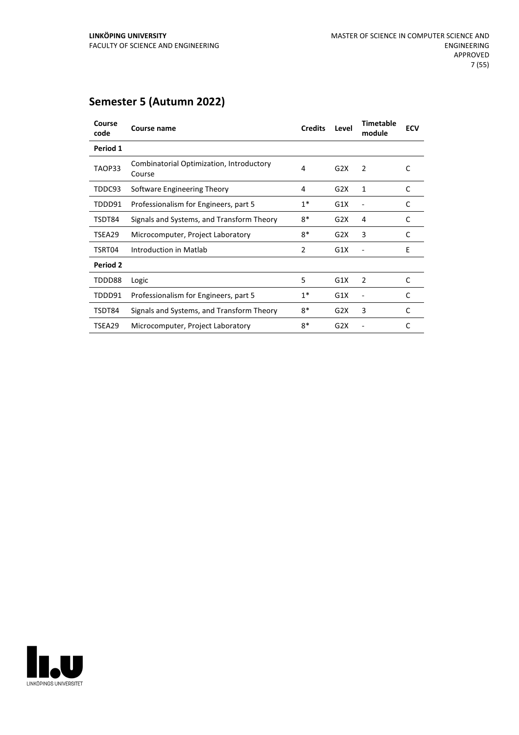| Course<br>code | Course name                                        | <b>Credits</b> | Level | <b>Timetable</b><br>module | <b>ECV</b> |
|----------------|----------------------------------------------------|----------------|-------|----------------------------|------------|
| Period 1       |                                                    |                |       |                            |            |
| TAOP33         | Combinatorial Optimization, Introductory<br>Course | 4              | G2X   | 2                          | C          |
| TDDC93         | Software Engineering Theory                        | 4              | G2X   | 1                          | C          |
| TDDD91         | Professionalism for Engineers, part 5              | $1*$           | G1X   |                            | C          |
| TSDT84         | Signals and Systems, and Transform Theory          | 8*             | G2X   | 4                          | C          |
| TSEA29         | Microcomputer, Project Laboratory                  | 8*             | G2X   | 3                          | C          |
| TSRT04         | Introduction in Matlab                             | $\overline{2}$ | G1X   |                            | E          |
| Period 2       |                                                    |                |       |                            |            |
| TDDD88         | Logic                                              | 5              | G1X   | $\overline{2}$             | C          |
| TDDD91         | Professionalism for Engineers, part 5              | $1*$           | G1X   |                            | C          |
| TSDT84         | Signals and Systems, and Transform Theory          | $8*$           | G2X   | 3                          | C          |
| TSEA29         | Microcomputer, Project Laboratory                  | 8*             | G2X   |                            | C          |

# **Semester 5 (Autumn 2022)**

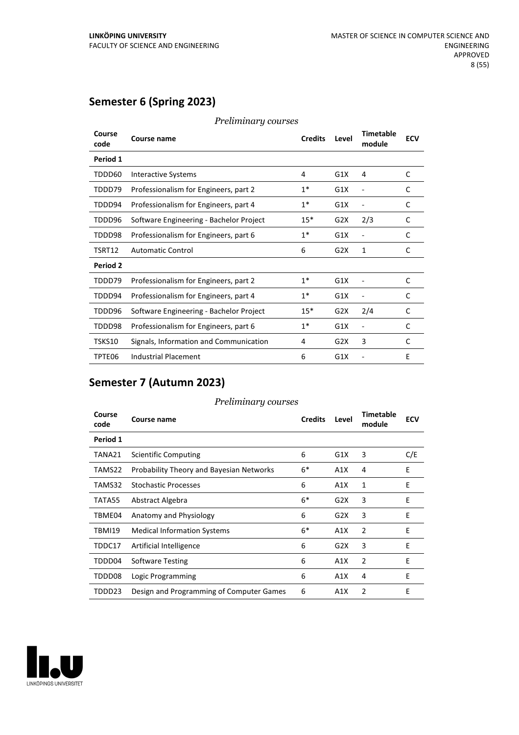# **Semester 6 (Spring 2023)**

| Course<br>code | Course name                             | <b>Credits</b> | Level | <b>Timetable</b><br>module | <b>ECV</b> |
|----------------|-----------------------------------------|----------------|-------|----------------------------|------------|
| Period 1       |                                         |                |       |                            |            |
| TDDD60         | Interactive Systems                     | 4              | G1X   | 4                          | C          |
| TDDD79         | Professionalism for Engineers, part 2   | $1*$           | G1X   |                            | C          |
| TDDD94         | Professionalism for Engineers, part 4   | $1*$           | G1X   |                            | C          |
| TDDD96         | Software Engineering - Bachelor Project | $15*$          | G2X   | 2/3                        | C          |
| TDDD98         | Professionalism for Engineers, part 6   | $1*$           | G1X   |                            | C          |
| TSRT12         | <b>Automatic Control</b>                | 6              | G2X   | 1                          | C          |
| Period 2       |                                         |                |       |                            |            |
| TDDD79         | Professionalism for Engineers, part 2   | $1*$           | G1X   |                            | C          |
| TDDD94         | Professionalism for Engineers, part 4   | $1*$           | G1X   |                            | C          |
| TDDD96         | Software Engineering - Bachelor Project | $15*$          | G2X   | 2/4                        | C          |
| TDDD98         | Professionalism for Engineers, part 6   | $1*$           | G1X   | ۰                          | C          |
| TSKS10         | Signals, Information and Communication  | 4              | G2X   | 3                          | C          |
| TPTE06         | <b>Industrial Placement</b>             | 6              | G1X   |                            | E          |

*Preliminary courses*

# **Semester 7 (Autumn 2023)**

#### *Preliminary courses*

| Course<br>code | <b>Course name</b>                              | <b>Credits</b> | Level | <b>Timetable</b><br>module | <b>ECV</b> |
|----------------|-------------------------------------------------|----------------|-------|----------------------------|------------|
| Period 1       |                                                 |                |       |                            |            |
| TANA21         | Scientific Computing                            | 6              | G1X   | 3                          | C/E        |
| TAMS22         | <b>Probability Theory and Bayesian Networks</b> | $6*$           | A1X   | 4                          | E          |
| TAMS32         | <b>Stochastic Processes</b>                     | 6              | A1X   | 1                          | E          |
| TATA55         | Abstract Algebra                                | $6*$           | G2X   | 3                          | Ε          |
| TBME04         | Anatomy and Physiology                          | 6              | G2X   | 3                          | E          |
| TBMI19         | <b>Medical Information Systems</b>              | $6*$           | A1X   | $\overline{2}$             | Ε          |
| TDDC17         | Artificial Intelligence                         | 6              | G2X   | 3                          | E          |
| TDDD04         | <b>Software Testing</b>                         | 6              | A1X   | $\overline{2}$             | E          |
| TDDD08         | Logic Programming                               | 6              | A1X   | 4                          | E          |
| TDDD23         | Design and Programming of Computer Games        | 6              | A1X   | $\overline{2}$             | Ε          |

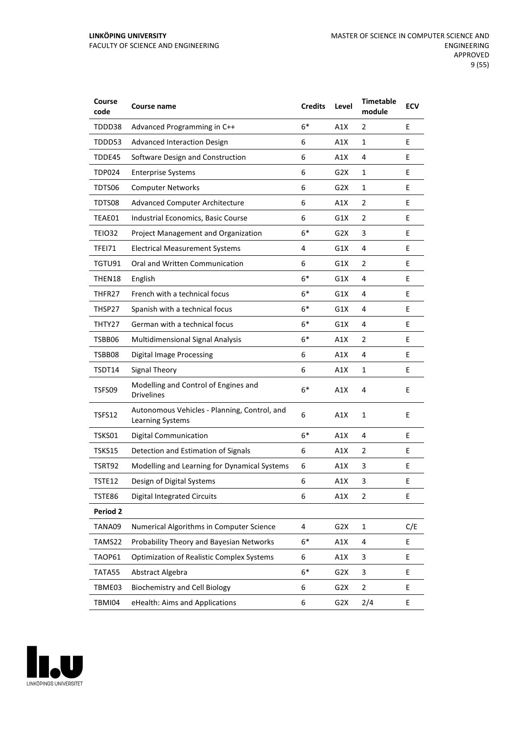| Course<br>code | Course name                                                      | <b>Credits</b> | Level            | <b>Timetable</b><br>module | <b>ECV</b> |
|----------------|------------------------------------------------------------------|----------------|------------------|----------------------------|------------|
| TDDD38         | Advanced Programming in C++                                      | $6*$           | A1X              | 2                          | E          |
| TDDD53         | <b>Advanced Interaction Design</b>                               | 6              | A1X              | 1                          | E          |
| TDDE45         | Software Design and Construction                                 | 6              | A1X              | 4                          | E          |
| TDP024         | <b>Enterprise Systems</b>                                        | 6              | G2X              | 1                          | E          |
| TDTS06         | <b>Computer Networks</b>                                         | 6              | G2X              | 1                          | E          |
| TDTS08         | <b>Advanced Computer Architecture</b>                            | 6              | A1X              | 2                          | E          |
| TEAE01         | Industrial Economics, Basic Course                               | 6              | G1X              | 2                          | E          |
| TEIO32         | Project Management and Organization                              | $6*$           | G2X              | 3                          | E          |
| TFEI71         | <b>Electrical Measurement Systems</b>                            | 4              | G1X              | 4                          | E          |
| TGTU91         | Oral and Written Communication                                   | 6              | G1X              | 2                          | E          |
| THEN18         | English                                                          | $6*$           | G1X              | 4                          | E          |
| THFR27         | French with a technical focus                                    | $6*$           | G1X              | 4                          | E          |
| THSP27         | Spanish with a technical focus                                   | $6*$           | G1X              | 4                          | E          |
| THTY27         | German with a technical focus                                    | $6*$           | G1X              | 4                          | E          |
| TSBB06         | <b>Multidimensional Signal Analysis</b>                          | 6*             | A1X              | 2                          | E          |
| TSBB08         | <b>Digital Image Processing</b>                                  | 6              | A1X              | 4                          | E          |
| TSDT14         | <b>Signal Theory</b>                                             | 6              | A1X              | 1                          | E          |
| TSFS09         | Modelling and Control of Engines and<br><b>Drivelines</b>        | $6*$           | A1X              | 4                          | E          |
| TSFS12         | Autonomous Vehicles - Planning, Control, and<br>Learning Systems | 6              | A1X              | 1                          | E          |
| TSKS01         | <b>Digital Communication</b>                                     | $6*$           | A1X              | 4                          | E          |
| TSKS15         | Detection and Estimation of Signals                              | 6              | A1X              | 2                          | Ε          |
| TSRT92         | Modelling and Learning for Dynamical Systems                     | 6              | A1X              | 3                          | E          |
| TSTE12         | Design of Digital Systems                                        | 6              | A1X              | 3                          | E          |
| <b>TSTE86</b>  | <b>Digital Integrated Circuits</b>                               | 6              | A1X              | 2                          | E          |
| Period 2       |                                                                  |                |                  |                            |            |
| TANA09         | Numerical Algorithms in Computer Science                         | 4              | G2X              | $\mathbf{1}$               | C/E        |
| TAMS22         | Probability Theory and Bayesian Networks                         | $6*$           | A1X              | 4                          | E          |
| TAOP61         | <b>Optimization of Realistic Complex Systems</b>                 | 6              | A1X              | 3                          | E          |
| TATA55         | Abstract Algebra                                                 | $6*$           | G <sub>2</sub> X | 3                          | E          |
| TBME03         | <b>Biochemistry and Cell Biology</b>                             | 6              | G <sub>2</sub> X | $\overline{2}$             | E          |
| TBMI04         | eHealth: Aims and Applications                                   | 6              | G2X              | 2/4                        | E          |

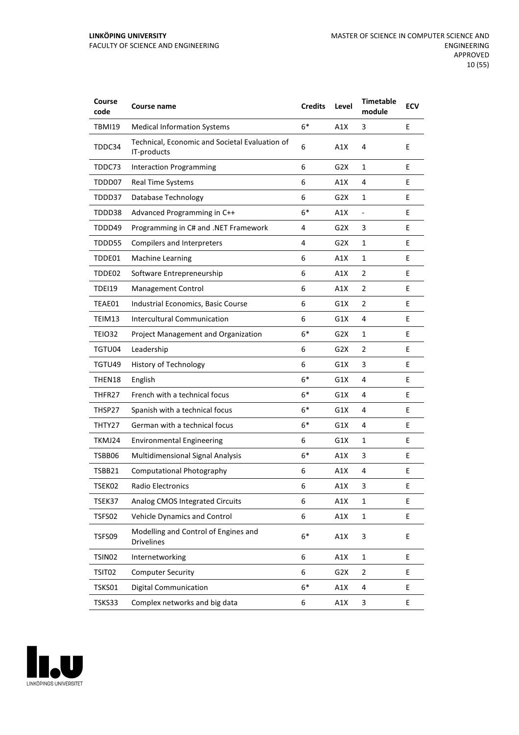| Course<br>code     | Course name                                                   | <b>Credits</b> | Level            | <b>Timetable</b><br>module | <b>ECV</b> |
|--------------------|---------------------------------------------------------------|----------------|------------------|----------------------------|------------|
| <b>TBMI19</b>      | <b>Medical Information Systems</b>                            | $6*$           | A1X              | 3                          | E          |
| TDDC34             | Technical, Economic and Societal Evaluation of<br>IT-products | 6              | A1X              | 4                          | E          |
| TDDC73             | <b>Interaction Programming</b>                                | 6              | G2X              | 1                          | E          |
| TDDD07             | <b>Real Time Systems</b>                                      | 6              | A1X              | 4                          | E          |
| TDDD37             | Database Technology                                           | 6              | G2X              | 1                          | E          |
| TDDD38             | Advanced Programming in C++                                   | $6*$           | A1X              | $\blacksquare$             | E          |
| TDDD49             | Programming in C# and .NET Framework                          | 4              | G2X              | 3                          | E          |
| TDDD55             | <b>Compilers and Interpreters</b>                             | 4              | G2X              | $\mathbf{1}$               | E          |
| TDDE01             | <b>Machine Learning</b>                                       | 6              | A1X              | $\mathbf{1}$               | E          |
| TDDE02             | Software Entrepreneurship                                     | 6              | A1X              | $\overline{2}$             | E          |
| <b>TDEI19</b>      | Management Control                                            | 6              | A1X              | $\overline{2}$             | E          |
| TEAE01             | Industrial Economics, Basic Course                            | 6              | G1X              | 2                          | E          |
| TEIM13             | Intercultural Communication                                   | 6              | G1X              | 4                          | E          |
| TEIO32             | Project Management and Organization                           | $6*$           | G2X              | 1                          | E          |
| TGTU04             | Leadership                                                    | 6              | G2X              | $\overline{2}$             | E          |
| TGTU49             | History of Technology                                         | 6              | G1X              | 3                          | E          |
| THEN18             | English                                                       | $6*$           | G1X              | 4                          | E          |
| THFR27             | French with a technical focus                                 | $6*$           | G1X              | 4                          | E          |
| THSP27             | Spanish with a technical focus                                | $6*$           | G1X              | 4                          | E          |
| THTY27             | German with a technical focus                                 | $6*$           | G1X              | 4                          | E          |
| TKMJ24             | <b>Environmental Engineering</b>                              | 6              | G1X              | $\mathbf{1}$               | E          |
| TSBB06             | Multidimensional Signal Analysis                              | $6*$           | A1X              | 3                          | E          |
| TSBB21             | Computational Photography                                     | 6              | A1X              | 4                          | E          |
| TSEK02             | Radio Electronics                                             | 6              | A1X              | 3                          | Ε          |
| TSEK37             | Analog CMOS Integrated Circuits                               | 6              | A1X              | 1                          | E          |
| TSFS02             | Vehicle Dynamics and Control                                  | 6              | A1X              | $\mathbf{1}$               | E.         |
| TSFS09             | Modelling and Control of Engines and<br>Drivelines            | $6*$           | A1X              | 3                          | E          |
| TSIN <sub>02</sub> | Internetworking                                               | 6              | A1X              | $\mathbf 1$                | E          |
| TSIT02             | <b>Computer Security</b>                                      | 6              | G <sub>2</sub> X | $\overline{2}$             | E          |
| TSKS01             | <b>Digital Communication</b>                                  | $6*$           | A1X              | 4                          | E          |
| TSKS33             | Complex networks and big data                                 | 6              | A1X              | 3                          | E          |

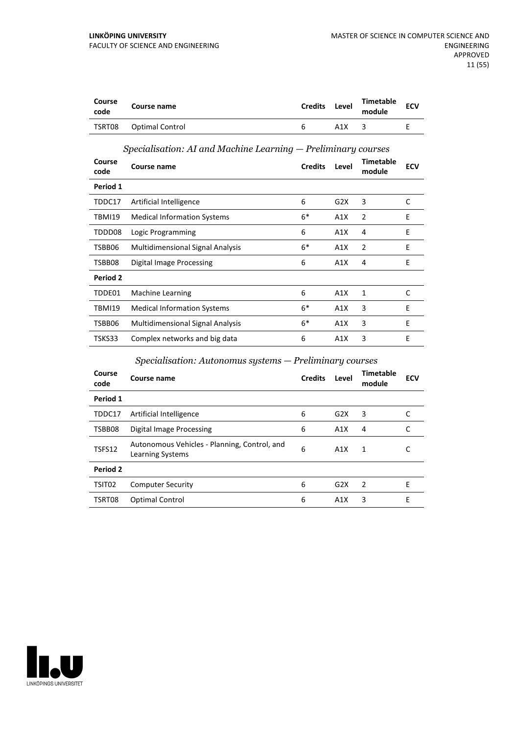| Course<br>code | Course name     | <b>Credits</b> | Level | Timetable<br>module | <b>ECV</b> |
|----------------|-----------------|----------------|-------|---------------------|------------|
| TSRT08         | Optimal Control | h              | A1X   |                     |            |

#### *Specialisation: AI and Machine Learning — Preliminary courses*

| Course<br>code | Course name                             | <b>Credits</b> | Level | <b>Timetable</b><br>module | <b>ECV</b> |
|----------------|-----------------------------------------|----------------|-------|----------------------------|------------|
| Period 1       |                                         |                |       |                            |            |
| TDDC17         | Artificial Intelligence                 | 6              | G2X   | 3                          | C          |
| TBMI19         | <b>Medical Information Systems</b>      | $6*$           | A1X   | $\overline{2}$             | E          |
| TDDD08         | Logic Programming                       | 6              | A1X   | 4                          | E          |
| TSBB06         | <b>Multidimensional Signal Analysis</b> | $6*$           | A1X   | 2                          | E          |
| TSBB08         | Digital Image Processing                | 6              | A1X   | 4                          | E          |
| Period 2       |                                         |                |       |                            |            |
| TDDE01         | <b>Machine Learning</b>                 | 6              | A1X   | 1                          | C          |
| <b>TBMI19</b>  | <b>Medical Information Systems</b>      | $6*$           | A1X   | 3                          | E          |
| TSBB06         | <b>Multidimensional Signal Analysis</b> | $6*$           | A1X   | 3                          | E          |
| TSKS33         | Complex networks and big data           | 6              | A1X   | 3                          | E          |

#### *Specialisation: Autonomus systems — Preliminary courses*

| Course<br>code | Course name                                                      | <b>Credits</b> | Level            | <b>Timetable</b><br>module | <b>ECV</b> |
|----------------|------------------------------------------------------------------|----------------|------------------|----------------------------|------------|
| Period 1       |                                                                  |                |                  |                            |            |
| TDDC17         | Artificial Intelligence                                          | 6              | G <sub>2</sub> X | 3                          |            |
| TSBB08         | Digital Image Processing                                         | 6              | A1X              | 4                          |            |
| TSFS12         | Autonomous Vehicles - Planning, Control, and<br>Learning Systems | 6              | A1X              | 1                          | C          |
| Period 2       |                                                                  |                |                  |                            |            |
| TSIT02         | <b>Computer Security</b>                                         | 6              | G2X              | 2                          | E          |
| TSRT08         | <b>Optimal Control</b>                                           | 6              | A1X              | 3                          | E          |

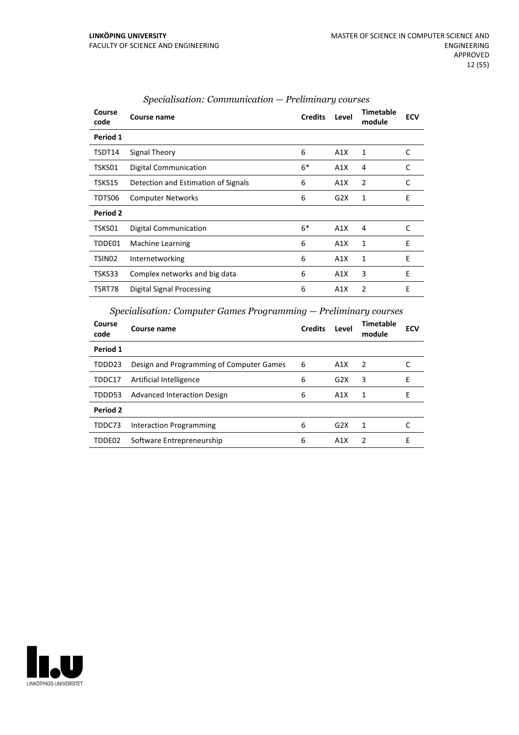| Course<br>code | Course name                         | <b>Credits</b> | Level | <b>Timetable</b><br>module | <b>ECV</b> |
|----------------|-------------------------------------|----------------|-------|----------------------------|------------|
| Period 1       |                                     |                |       |                            |            |
| TSDT14         | Signal Theory                       | 6              | A1X   | 1                          | C          |
| TSKS01         | Digital Communication               | $6*$           | A1X   | 4                          | C          |
| TSKS15         | Detection and Estimation of Signals | 6              | A1X   | 2                          | C          |
| TDTS06         | <b>Computer Networks</b>            | 6              | G2X   | 1                          | E          |
| Period 2       |                                     |                |       |                            |            |
| TSKS01         | Digital Communication               | $6*$           | A1X   | 4                          | C          |
| TDDE01         | <b>Machine Learning</b>             | 6              | A1X   | 1                          | E          |
| TSIN02         | Internetworking                     | 6              | A1X   | 1                          | E          |
| TSKS33         | Complex networks and big data       | 6              | A1X   | 3                          | E          |
| TSRT78         | Digital Signal Processing           | 6              | A1X   | $\overline{2}$             | E          |
|                |                                     |                |       |                            |            |

#### *Specialisation: Communication — Preliminary courses*

*Specialisation: Computer Games Programming — Preliminary courses*

| Course<br>code | Course name                              | <b>Credits</b> | Level            | <b>Timetable</b><br>module | <b>ECV</b> |
|----------------|------------------------------------------|----------------|------------------|----------------------------|------------|
| Period 1       |                                          |                |                  |                            |            |
| TDDD23         | Design and Programming of Computer Games | 6              | A1X              | 2                          |            |
| TDDC17         | Artificial Intelligence                  | 6              | G2X              | 3                          | E          |
| TDDD53         | Advanced Interaction Design              | 6              | A1X              | 1                          | Е          |
| Period 2       |                                          |                |                  |                            |            |
| TDDC73         | Interaction Programming                  | 6              | G <sub>2</sub> X | 1                          |            |
| TDDE02         | Software Entrepreneurship                | 6              | A1X              | $\mathcal{P}$              | Е          |

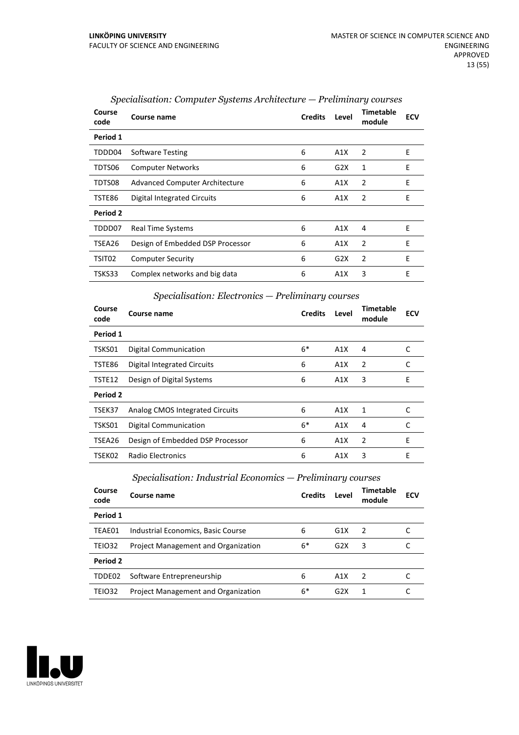| Course<br>code | Course name                           | <b>Credits</b> | Level | <b>Timetable</b><br>module | <b>ECV</b> |
|----------------|---------------------------------------|----------------|-------|----------------------------|------------|
| Period 1       |                                       |                |       |                            |            |
| TDDD04         | <b>Software Testing</b>               | 6              | A1X   | 2                          | E          |
| TDTS06         | <b>Computer Networks</b>              | 6              | G2X   | 1                          | E          |
| TDTS08         | <b>Advanced Computer Architecture</b> | 6              | A1X   | 2                          | E          |
| TSTE86         | Digital Integrated Circuits           | 6              | A1X   | 2                          | E          |
| Period 2       |                                       |                |       |                            |            |
| TDDD07         | Real Time Systems                     | 6              | A1X   | 4                          | E          |
| TSEA26         | Design of Embedded DSP Processor      | 6              | A1X   | 2                          | E          |
| TSIT02         | <b>Computer Security</b>              | 6              | G2X   | 2                          | E          |
| TSKS33         | Complex networks and big data         | 6              | A1X   | 3                          | E          |

#### *Specialisation: Computer Systems Architecture — Preliminary courses*

## *Specialisation: Electronics — Preliminary courses*

| Course<br>code | Course name                      | <b>Credits</b> | Level | Timetable<br>module | <b>ECV</b> |
|----------------|----------------------------------|----------------|-------|---------------------|------------|
| Period 1       |                                  |                |       |                     |            |
| TSKS01         | Digital Communication            | $6*$           | A1X   | 4                   |            |
| TSTE86         | Digital Integrated Circuits      | 6              | A1X   | $\overline{2}$      | C          |
| TSTE12         | Design of Digital Systems        | 6              | A1X   | 3                   | E          |
| Period 2       |                                  |                |       |                     |            |
| TSEK37         | Analog CMOS Integrated Circuits  | 6              | A1X   | $\mathbf{1}$        | C          |
| TSKS01         | <b>Digital Communication</b>     | $6*$           | A1X   | 4                   |            |
| TSEA26         | Design of Embedded DSP Processor | 6              | A1X   | $\overline{2}$      | E          |
| TSEK02         | Radio Electronics                | 6              | A1X   | 3                   | E          |

## *Specialisation: Industrial Economics — Preliminary courses*

| Course name                         | <b>Credits</b> | Level | Timetable<br>module | <b>ECV</b> |
|-------------------------------------|----------------|-------|---------------------|------------|
|                                     |                |       |                     |            |
| Industrial Economics, Basic Course  | 6              | G1X   | $\overline{2}$      |            |
| Project Management and Organization | $6*$           | G2X   | 3                   |            |
|                                     |                |       |                     |            |
| Software Entrepreneurship           | 6              | A1X   | $\mathcal{P}$       |            |
| Project Management and Organization | 6*             | G2X   | 1                   |            |
|                                     |                |       |                     |            |

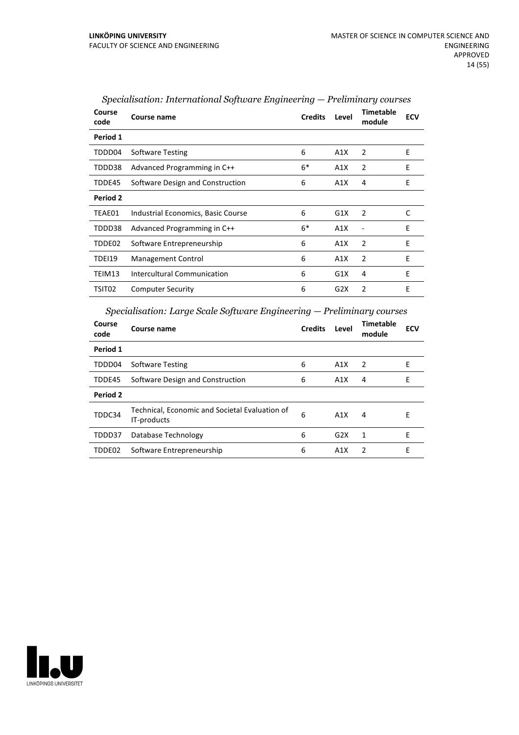| Course<br>code | Course name                        | <b>Credits</b> | Level | <b>Timetable</b><br>module | <b>ECV</b> |
|----------------|------------------------------------|----------------|-------|----------------------------|------------|
| Period 1       |                                    |                |       |                            |            |
| TDDD04         | <b>Software Testing</b>            | 6              | A1X   | $\overline{2}$             | Ε          |
| TDDD38         | Advanced Programming in C++        | $6*$           | A1X   | 2                          | E          |
| TDDE45         | Software Design and Construction   | 6              | A1X   | 4                          | Ε          |
| Period 2       |                                    |                |       |                            |            |
| TEAE01         | Industrial Economics, Basic Course | 6              | G1X   | 2                          | C          |
| TDDD38         | Advanced Programming in C++        | $6*$           | A1X   |                            | E          |
| TDDE02         | Software Entrepreneurship          | 6              | A1X   | 2                          | E          |
| TDEI19         | Management Control                 | 6              | A1X   | 2                          | E          |
| TEIM13         | Intercultural Communication        | 6              | G1X   | 4                          | E          |
| TSIT02         | <b>Computer Security</b>           | 6              | G2X   | 2                          | E          |

*Specialisation: International Software Engineering — Preliminary courses*

*Specialisation: Large Scale Software Engineering — Preliminary courses*

| Course<br>code | <b>Course name</b>                                            | <b>Credits</b> | Level | <b>Timetable</b><br>module | <b>ECV</b> |
|----------------|---------------------------------------------------------------|----------------|-------|----------------------------|------------|
| Period 1       |                                                               |                |       |                            |            |
| TDDD04         | <b>Software Testing</b>                                       | 6              | A1X   | 2                          | Е          |
| TDDE45         | Software Design and Construction                              | 6              | A1X   | 4                          | E          |
| Period 2       |                                                               |                |       |                            |            |
| TDDC34         | Technical, Economic and Societal Evaluation of<br>IT-products | 6              | A1X   | 4                          | E          |
| TDDD37         | Database Technology                                           | 6              | G2X   | 1                          | F          |
| TDDE02         | Software Entrepreneurship                                     | 6              | A1X   | $\mathcal{P}$              | F          |

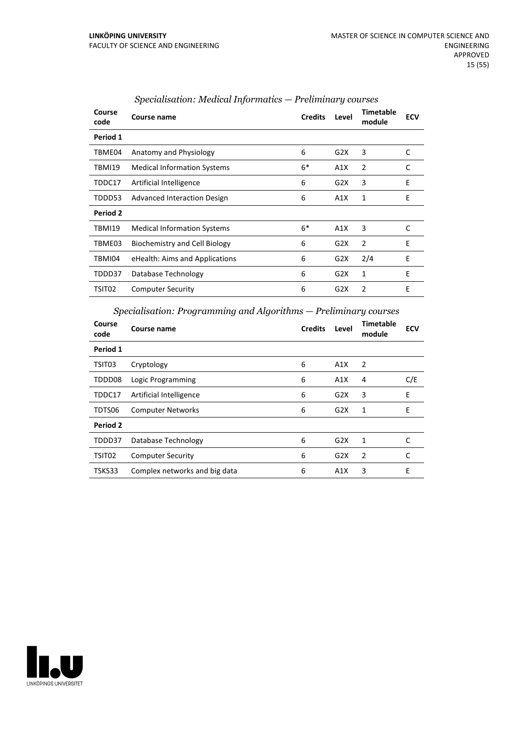| Course<br>code | Course name                        | <b>Credits</b> | Level | <b>Timetable</b><br>module | <b>ECV</b> |
|----------------|------------------------------------|----------------|-------|----------------------------|------------|
| Period 1       |                                    |                |       |                            |            |
| TBME04         | Anatomy and Physiology             | 6              | G2X   | 3                          | C          |
| TBMI19         | <b>Medical Information Systems</b> | $6*$           | A1X   | 2                          | C          |
| TDDC17         | Artificial Intelligence            | 6              | G2X   | 3                          | E          |
| TDDD53         | Advanced Interaction Design        | 6              | A1X   | 1                          | E          |
| Period 2       |                                    |                |       |                            |            |
| TBMI19         | <b>Medical Information Systems</b> | $6*$           | A1X   | 3                          | C          |
| TBME03         | Biochemistry and Cell Biology      | 6              | G2X   | 2                          | F          |
| TBMI04         | eHealth: Aims and Applications     | 6              | G2X   | 2/4                        | E          |
| TDDD37         | Database Technology                | 6              | G2X   | 1                          | F          |
| TSIT02         | <b>Computer Security</b>           | 6              | G2X   | 2                          | E          |
|                |                                    |                |       |                            |            |

#### *Specialisation: Medical Informatics — Preliminary courses*

#### *Specialisation: Programming and Algorithms — Preliminary courses*

| Course<br>code | Course name                   | <b>Credits</b> | Level | <b>Timetable</b><br>module | <b>ECV</b> |
|----------------|-------------------------------|----------------|-------|----------------------------|------------|
| Period 1       |                               |                |       |                            |            |
| TSIT03         | Cryptology                    | 6              | A1X   | $\overline{2}$             |            |
| TDDD08         | Logic Programming             | 6              | A1X   | 4                          | C/E        |
| TDDC17         | Artificial Intelligence       | 6              | G2X   | 3                          | E          |
| TDTS06         | <b>Computer Networks</b>      | 6              | G2X   | 1                          | E          |
| Period 2       |                               |                |       |                            |            |
| TDDD37         | Database Technology           | 6              | G2X   | 1                          | C          |
| TSIT02         | <b>Computer Security</b>      | 6              | G2X   | $\overline{2}$             | C          |
| TSKS33         | Complex networks and big data | 6              | A1X   | 3                          | E          |

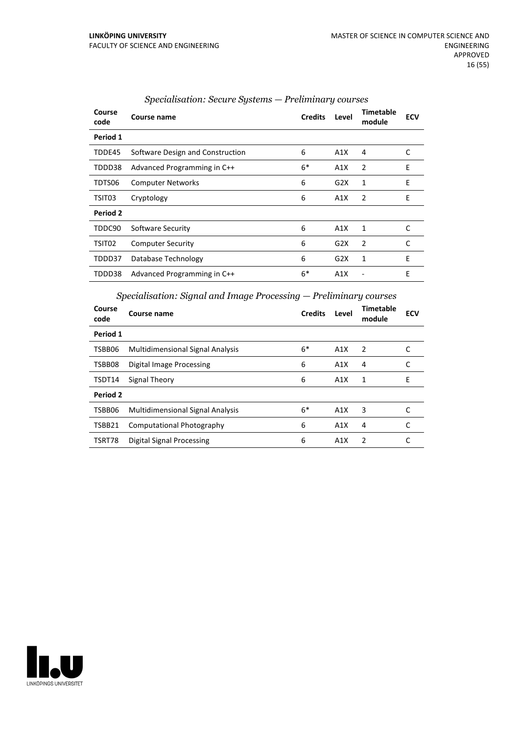| Course<br>code | Course name                      | <b>Credits</b> | Level | Timetable<br>module | <b>ECV</b> |
|----------------|----------------------------------|----------------|-------|---------------------|------------|
| Period 1       |                                  |                |       |                     |            |
| TDDE45         | Software Design and Construction | 6              | A1X   | 4                   | C          |
| TDDD38         | Advanced Programming in C++      | $6*$           | A1X   | $\overline{2}$      | Ε          |
| TDTS06         | <b>Computer Networks</b>         | 6              | G2X   | 1                   | E          |
| TSIT03         | Cryptology                       | 6              | A1X   | 2                   | E          |
| Period 2       |                                  |                |       |                     |            |
| TDDC90         | Software Security                | 6              | A1X   | $\mathbf{1}$        | C          |
| TSIT02         | <b>Computer Security</b>         | 6              | G2X   | $\overline{2}$      | C          |
| TDDD37         | Database Technology              | 6              | G2X   | 1                   | E          |
| TDDD38         | Advanced Programming in C++      | $6*$           | A1X   |                     | E          |

## *Specialisation: Secure Systems — Preliminary courses*

*Specialisation: Signal and Image Processing — Preliminary courses*

| Course<br>code | Course name                             | <b>Credits</b> | Level | <b>Timetable</b><br>module | <b>ECV</b> |
|----------------|-----------------------------------------|----------------|-------|----------------------------|------------|
| Period 1       |                                         |                |       |                            |            |
| TSBB06         | <b>Multidimensional Signal Analysis</b> | $6*$           | A1X   | 2                          | C          |
| TSBB08         | <b>Digital Image Processing</b>         | 6              | A1X   | 4                          | C          |
| TSDT14         | Signal Theory                           | 6              | A1X   | 1                          | E          |
| Period 2       |                                         |                |       |                            |            |
| TSBB06         | <b>Multidimensional Signal Analysis</b> | $6*$           | A1X   | 3                          |            |
| TSBB21         | Computational Photography               | 6              | A1X   | 4                          | C          |
| TSRT78         | Digital Signal Processing               | 6              | A1X   | 2                          |            |

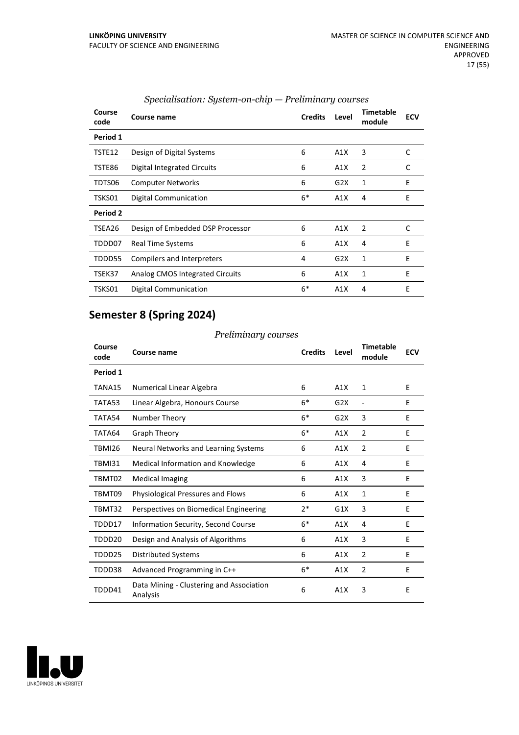| Course<br>code | Course name                      | <b>Credits</b> | Level | <b>Timetable</b><br>module | <b>ECV</b> |
|----------------|----------------------------------|----------------|-------|----------------------------|------------|
| Period 1       |                                  |                |       |                            |            |
| TSTE12         | Design of Digital Systems        | 6              | A1X   | 3                          | C          |
| TSTE86         | Digital Integrated Circuits      | 6              | A1X   | 2                          | C          |
| TDTS06         | <b>Computer Networks</b>         | 6              | G2X   | 1                          | E          |
| TSKS01         | Digital Communication            | $6*$           | A1X   | 4                          | E          |
| Period 2       |                                  |                |       |                            |            |
| TSEA26         | Design of Embedded DSP Processor | 6              | A1X   | 2                          | C          |
| TDDD07         | Real Time Systems                | 6              | A1X   | 4                          | E          |
| TDDD55         | Compilers and Interpreters       | 4              | G2X   | 1                          | E          |
| TSEK37         | Analog CMOS Integrated Circuits  | 6              | A1X   | 1                          | E          |
| TSKS01         | <b>Digital Communication</b>     | $6*$           | A1X   | 4                          | E          |

## *Specialisation: System-on-chip — Preliminary courses*

# **Semester 8 (Spring 2024)**

#### *Preliminary courses*

| Course<br>code | Course name                                          | <b>Credits</b> | Level | Timetable<br>module | <b>ECV</b> |
|----------------|------------------------------------------------------|----------------|-------|---------------------|------------|
| Period 1       |                                                      |                |       |                     |            |
| TANA15         | Numerical Linear Algebra                             | 6              | A1X   | $\mathbf{1}$        | E          |
| TATA53         | Linear Algebra, Honours Course                       | $6*$           | G2X   | $\overline{a}$      | E          |
| TATA54         | Number Theory                                        | $6*$           | G2X   | 3                   | E          |
| TATA64         | <b>Graph Theory</b>                                  | $6*$           | A1X   | $\overline{2}$      | E          |
| TBMI26         | Neural Networks and Learning Systems                 | 6              | A1X   | $\overline{2}$      | F          |
| TBMI31         | Medical Information and Knowledge                    | 6              | A1X   | 4                   | E          |
| TBMT02         | <b>Medical Imaging</b>                               | 6              | A1X   | 3                   | E          |
| TBMT09         | <b>Physiological Pressures and Flows</b>             | 6              | A1X   | 1                   | E          |
| TBMT32         | Perspectives on Biomedical Engineering               | $2*$           | G1X   | 3                   | E          |
| TDDD17         | Information Security, Second Course                  | $6*$           | A1X   | 4                   | E          |
| TDDD20         | Design and Analysis of Algorithms                    | 6              | A1X   | 3                   | E          |
| TDDD25         | <b>Distributed Systems</b>                           | 6              | A1X   | 2                   | E          |
| TDDD38         | Advanced Programming in C++                          | $6*$           | A1X   | $\overline{2}$      | E          |
| TDDD41         | Data Mining - Clustering and Association<br>Analysis | 6              | A1X   | 3                   | E          |

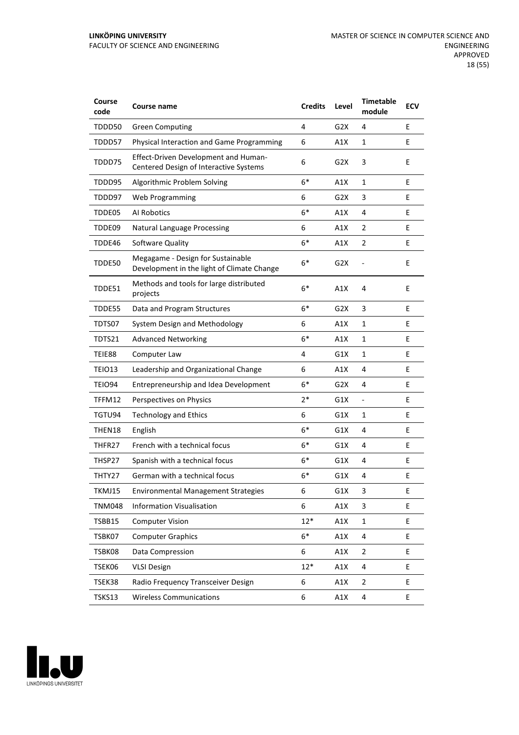| Course<br>code | <b>Course name</b>                                                              | <b>Credits</b> | Level            | <b>Timetable</b><br>module | <b>ECV</b> |
|----------------|---------------------------------------------------------------------------------|----------------|------------------|----------------------------|------------|
| TDDD50         | <b>Green Computing</b>                                                          | 4              | G2X              | 4                          | E          |
| TDDD57         | Physical Interaction and Game Programming                                       | 6              | A1X              | $\mathbf{1}$               | E          |
| TDDD75         | Effect-Driven Development and Human-<br>Centered Design of Interactive Systems  | 6              | G2X              | 3                          | E          |
| TDDD95         | Algorithmic Problem Solving                                                     | $6*$           | A1X              | 1                          | E          |
| TDDD97         | <b>Web Programming</b>                                                          | 6              | G2X              | 3                          | E          |
| TDDE05         | Al Robotics                                                                     | $6*$           | A1X              | 4                          | E          |
| TDDE09         | <b>Natural Language Processing</b>                                              | 6              | A1X              | 2                          | E          |
| TDDE46         | Software Quality                                                                | $6*$           | A1X              | $\overline{2}$             | E          |
| TDDE50         | Megagame - Design for Sustainable<br>Development in the light of Climate Change | $6*$           | G <sub>2</sub> X |                            | E          |
| TDDE51         | Methods and tools for large distributed<br>projects                             | $6*$           | A1X              | 4                          | E          |
| TDDE55         | Data and Program Structures                                                     | $6*$           | G2X              | 3                          | E          |
| TDTS07         | System Design and Methodology                                                   | 6              | A1X              | 1                          | E          |
| TDTS21         | <b>Advanced Networking</b>                                                      | $6*$           | A1X              | 1                          | E          |
| TEIE88         | Computer Law                                                                    | 4              | G1X              | $\mathbf{1}$               | E          |
| TEIO13         | Leadership and Organizational Change                                            | 6              | A1X              | 4                          | E          |
| TEIO94         | Entrepreneurship and Idea Development                                           | $6*$           | G2X              | 4                          | E          |
| TFFM12         | Perspectives on Physics                                                         | 2*             | G1X              | $\overline{\phantom{a}}$   | E          |
| TGTU94         | <b>Technology and Ethics</b>                                                    | 6              | G1X              | 1                          | E          |
| THEN18         | English                                                                         | $6*$           | G1X              | 4                          | Е          |
| THFR27         | French with a technical focus                                                   | $6*$           | G1X              | 4                          | E          |
| THSP27         | Spanish with a technical focus                                                  | $6*$           | G1X              | 4                          | E          |
| THTY27         | German with a technical focus                                                   | 6*             | G1X              | 4                          | E          |
| TKMJ15         | <b>Environmental Management Strategies</b>                                      | 6              | G1X              | 3                          | E          |
| <b>TNM048</b>  | <b>Information Visualisation</b>                                                | 6              | A1X              | 3                          | E.         |
| TSBB15         | <b>Computer Vision</b>                                                          | $12*$          | A1X              | $\mathbf{1}$               | E          |
| TSBK07         | <b>Computer Graphics</b>                                                        | $6*$           | A1X              | 4                          | E          |
| TSBK08         | Data Compression                                                                | 6              | A1X              | $\overline{2}$             | E          |
| TSEK06         | <b>VLSI Design</b>                                                              | $12*$          | A1X              | 4                          | E          |
| TSEK38         | Radio Frequency Transceiver Design                                              | 6              | A1X              | $\overline{2}$             | E          |
| TSKS13         | <b>Wireless Communications</b>                                                  | 6              | A1X              | 4                          | E          |

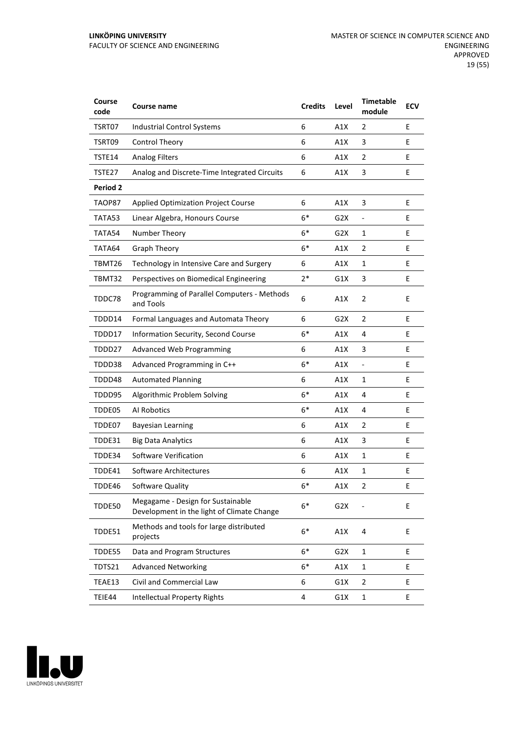| Course<br>code  | <b>Course name</b>                                                              | <b>Credits</b> | Level            | <b>Timetable</b><br>module   | <b>ECV</b> |
|-----------------|---------------------------------------------------------------------------------|----------------|------------------|------------------------------|------------|
| TSRT07          | <b>Industrial Control Systems</b>                                               | 6              | A1X              | 2                            | E          |
| TSRT09          | <b>Control Theory</b>                                                           | 6              | A1X              | 3                            | E          |
| TSTE14          | <b>Analog Filters</b>                                                           | 6              | A1X              | 2                            | E          |
| TSTE27          | Analog and Discrete-Time Integrated Circuits                                    | 6              | A1X              | 3                            | E          |
| <b>Period 2</b> |                                                                                 |                |                  |                              |            |
| TAOP87          | <b>Applied Optimization Project Course</b>                                      | 6              | A1X              | 3                            | E          |
| TATA53          | Linear Algebra, Honours Course                                                  | $6*$           | G2X              | $\qquad \qquad \blacksquare$ | Е          |
| TATA54          | Number Theory                                                                   | $6*$           | G2X              | 1                            | E          |
| TATA64          | Graph Theory                                                                    | $6*$           | A1X              | $\overline{2}$               | E          |
| TBMT26          | Technology in Intensive Care and Surgery                                        | 6              | A1X              | $\mathbf{1}$                 | E          |
| TBMT32          | Perspectives on Biomedical Engineering                                          | $2*$           | G1X              | 3                            | E          |
| TDDC78          | Programming of Parallel Computers - Methods<br>and Tools                        | 6              | A1X              | $\overline{2}$               | E          |
| TDDD14          | Formal Languages and Automata Theory                                            | 6              | G <sub>2</sub> X | 2                            | E          |
| TDDD17          | Information Security, Second Course                                             | $6*$           | A1X              | 4                            | E          |
| TDDD27          | Advanced Web Programming                                                        | 6              | A1X              | 3                            | E          |
| TDDD38          | Advanced Programming in C++                                                     | $6*$           | A1X              | $\overline{\phantom{a}}$     | E          |
| TDDD48          | <b>Automated Planning</b>                                                       | 6              | A1X              | 1                            | E          |
| TDDD95          | Algorithmic Problem Solving                                                     | $6*$           | A1X              | 4                            | E          |
| TDDE05          | Al Robotics                                                                     | $6*$           | A1X              | 4                            | E          |
| TDDE07          | <b>Bayesian Learning</b>                                                        | 6              | A1X              | $\overline{2}$               | E          |
| TDDE31          | <b>Big Data Analytics</b>                                                       | 6              | A1X              | 3                            | Е          |
| TDDE34          | Software Verification                                                           | 6              | A1X              | 1                            | E          |
| TDDE41          | Software Architectures                                                          | 6              | A1X              | 1                            | E          |
| TDDE46          | Software Quality                                                                | $6*$           | A1X              | 2                            | Ε          |
| TDDE50          | Megagame - Design for Sustainable<br>Development in the light of Climate Change | $6*$           | G <sub>2</sub> X |                              | E          |
| TDDE51          | Methods and tools for large distributed<br>projects                             | $6*$           | A1X              | 4                            | E          |
| TDDE55          | Data and Program Structures                                                     | $6*$           | G <sub>2</sub> X | $\mathbf{1}$                 | E          |
| TDTS21          | <b>Advanced Networking</b>                                                      | $6*$           | A1X              | $\mathbf{1}$                 | E          |
| TEAE13          | Civil and Commercial Law                                                        | 6              | G1X              | $\overline{2}$               | E          |
| TEIE44          | <b>Intellectual Property Rights</b>                                             | 4              | G1X              | $\mathbf{1}$                 | E          |

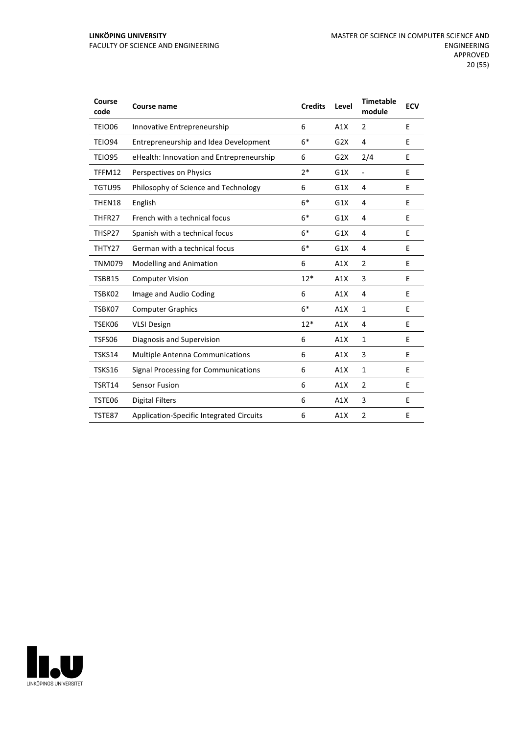| Course<br>code | <b>Course name</b>                              | <b>Credits</b> | Level | <b>Timetable</b><br>module | <b>ECV</b> |
|----------------|-------------------------------------------------|----------------|-------|----------------------------|------------|
| <b>TEIO06</b>  | Innovative Entrepreneurship                     | 6              | A1X   | $\overline{2}$             | E          |
| <b>TEIO94</b>  | Entrepreneurship and Idea Development           | $6*$           | G2X   | 4                          | E          |
| <b>TEIO95</b>  | eHealth: Innovation and Entrepreneurship        | 6              | G2X   | 2/4                        | E          |
| TFFM12         | Perspectives on Physics                         | $2*$           | G1X   | $\overline{\phantom{a}}$   | E          |
| TGTU95         | Philosophy of Science and Technology            | 6              | G1X   | 4                          | E          |
| THEN18         | English                                         | $6*$           | G1X   | 4                          | E          |
| THFR27         | French with a technical focus                   | $6*$           | G1X   | 4                          | E          |
| THSP27         | Spanish with a technical focus                  | $6*$           | G1X   | 4                          | E          |
| THTY27         | German with a technical focus                   | $6*$           | G1X   | 4                          | E          |
| <b>TNM079</b>  | <b>Modelling and Animation</b>                  | 6              | A1X   | $\overline{2}$             | E          |
| TSBB15         | <b>Computer Vision</b>                          | $12*$          | A1X   | 3                          | E          |
| TSBK02         | Image and Audio Coding                          | 6              | A1X   | 4                          | E          |
| TSBK07         | <b>Computer Graphics</b>                        | $6*$           | A1X   | $\mathbf{1}$               | E          |
| TSEK06         | <b>VLSI Design</b>                              | $12*$          | A1X   | 4                          | E          |
| TSFS06         | Diagnosis and Supervision                       | 6              | A1X   | $\mathbf{1}$               | E          |
| TSKS14         | <b>Multiple Antenna Communications</b>          | 6              | A1X   | 3                          | E          |
| <b>TSKS16</b>  | Signal Processing for Communications            | 6              | A1X   | $\mathbf{1}$               | E          |
| TSRT14         | <b>Sensor Fusion</b>                            | 6              | A1X   | $\overline{2}$             | E          |
| TSTE06         | <b>Digital Filters</b>                          | 6              | A1X   | 3                          | E          |
| TSTE87         | <b>Application-Specific Integrated Circuits</b> | 6              | A1X   | 2                          | E          |

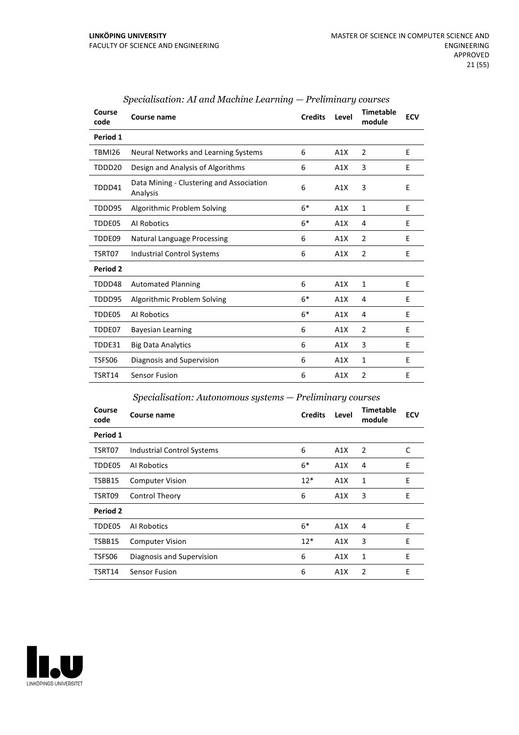| Course<br>code | Course name                                          | <b>Credits</b> | Level | <b>Timetable</b><br>module | <b>ECV</b> |
|----------------|------------------------------------------------------|----------------|-------|----------------------------|------------|
| Period 1       |                                                      |                |       |                            |            |
| <b>TBMI26</b>  | Neural Networks and Learning Systems                 | 6              | A1X   | 2                          | E          |
| TDDD20         | Design and Analysis of Algorithms                    | 6              | A1X   | 3                          | Ε          |
| TDDD41         | Data Mining - Clustering and Association<br>Analysis | 6              | A1X   | 3                          | E          |
| TDDD95         | Algorithmic Problem Solving                          | $6*$           | A1X   | $\mathbf{1}$               | E          |
| TDDE05         | Al Robotics                                          | $6*$           | A1X   | 4                          | E          |
| TDDE09         | <b>Natural Language Processing</b>                   | 6              | A1X   | $\overline{2}$             | E          |
| TSRT07         | <b>Industrial Control Systems</b>                    | 6              | A1X   | $\overline{2}$             | E          |
| Period 2       |                                                      |                |       |                            |            |
| TDDD48         | <b>Automated Planning</b>                            | 6              | A1X   | 1                          | Ε          |
| TDDD95         | Algorithmic Problem Solving                          | $6*$           | A1X   | 4                          | E          |
| TDDE05         | Al Robotics                                          | $6*$           | A1X   | 4                          | E          |
| TDDE07         | <b>Bayesian Learning</b>                             | 6              | A1X   | $\overline{2}$             | E          |
| TDDE31         | <b>Big Data Analytics</b>                            | 6              | A1X   | 3                          | E          |
| TSFS06         | Diagnosis and Supervision                            | 6              | A1X   | 1                          | E          |
| TSRT14         | <b>Sensor Fusion</b>                                 | 6              | A1X   | $\overline{2}$             | Е          |

#### *Specialisation: AI and Machine Learning — Preliminary courses*

#### *Specialisation: Autonomous systems — Preliminary courses*

| Course<br>code | Course name                       | <b>Credits</b> | Level | <b>Timetable</b><br>module | <b>ECV</b> |
|----------------|-----------------------------------|----------------|-------|----------------------------|------------|
| Period 1       |                                   |                |       |                            |            |
| TSRT07         | <b>Industrial Control Systems</b> | 6              | A1X   | 2                          | C          |
| TDDE05         | Al Robotics                       | $6*$           | A1X   | 4                          | E          |
| TSBB15         | <b>Computer Vision</b>            | $12*$          | A1X   | 1                          | E          |
| TSRT09         | Control Theory                    | 6              | A1X   | 3                          | Ε          |
| Period 2       |                                   |                |       |                            |            |
| TDDE05         | Al Robotics                       | $6*$           | A1X   | 4                          | E          |
| TSBB15         | <b>Computer Vision</b>            | $12*$          | A1X   | 3                          | E          |
| TSFS06         | Diagnosis and Supervision         | 6              | A1X   | 1                          | E          |
| TSRT14         | Sensor Fusion                     | 6              | A1X   | 2                          | E          |

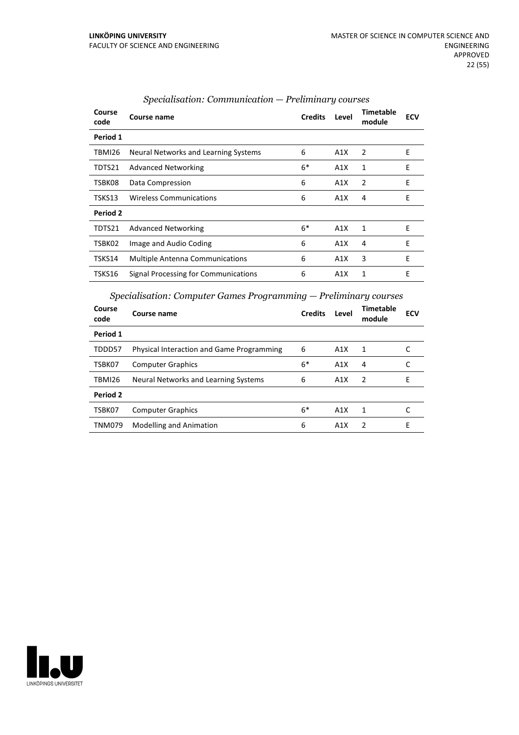| Course<br>code | Course name                            | <b>Credits</b> | Level | Timetable<br>module | <b>ECV</b> |
|----------------|----------------------------------------|----------------|-------|---------------------|------------|
| Period 1       |                                        |                |       |                     |            |
| TBMI26         | Neural Networks and Learning Systems   | 6              | A1X   | $\overline{2}$      | E          |
| TDTS21         | <b>Advanced Networking</b>             | $6*$           | A1X   | 1                   | E          |
| TSBK08         | Data Compression                       | 6              | A1X   | $\overline{2}$      | E          |
| TSKS13         | <b>Wireless Communications</b>         | 6              | A1X   | 4                   | E          |
| Period 2       |                                        |                |       |                     |            |
| TDTS21         | <b>Advanced Networking</b>             | $6*$           | A1X   | 1                   | E          |
| TSBK02         | Image and Audio Coding                 | 6              | A1X   | 4                   | E          |
| TSKS14         | <b>Multiple Antenna Communications</b> | 6              | A1X   | 3                   | E          |
| TSKS16         | Signal Processing for Communications   | 6              | A1X   | 1                   | E          |

#### *Specialisation: Communication — Preliminary courses*

*Specialisation: Computer Games Programming — Preliminary courses*

| Course<br>code | Course name                                      | <b>Credits</b> | Level | <b>Timetable</b><br>module | <b>ECV</b> |
|----------------|--------------------------------------------------|----------------|-------|----------------------------|------------|
| Period 1       |                                                  |                |       |                            |            |
| TDDD57         | <b>Physical Interaction and Game Programming</b> | 6              | A1X   | 1                          |            |
| TSBK07         | <b>Computer Graphics</b>                         | $6*$           | A1X   | 4                          |            |
| TBMI26         | Neural Networks and Learning Systems             | 6              | A1X   | 2                          | F          |
| Period 2       |                                                  |                |       |                            |            |
| TSBK07         | <b>Computer Graphics</b>                         | $6*$           | A1X   | 1                          |            |
| <b>TNM079</b>  | <b>Modelling and Animation</b>                   | 6              | A1X   | $\mathcal{P}$              | F          |

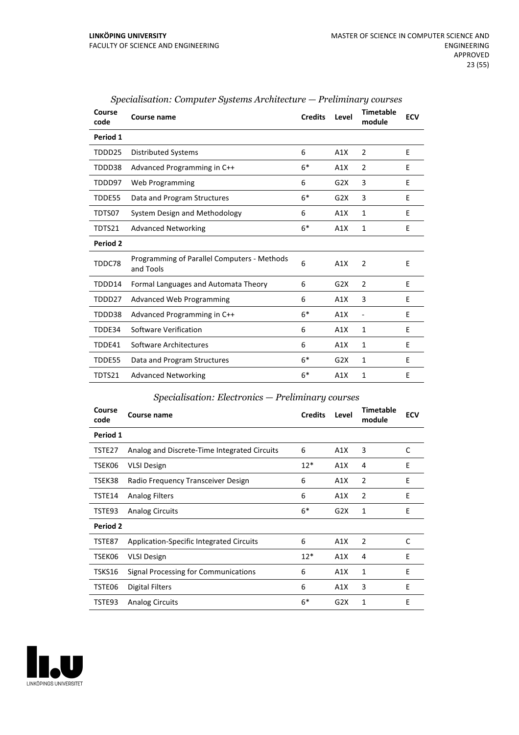| Course<br>code  | Course name                                              | <b>Credits</b> | Level | Timetable<br>module      | <b>ECV</b> |
|-----------------|----------------------------------------------------------|----------------|-------|--------------------------|------------|
| Period 1        |                                                          |                |       |                          |            |
| TDDD25          | <b>Distributed Systems</b>                               | 6              | A1X   | 2                        | E          |
| TDDD38          | Advanced Programming in C++                              | $6*$           | A1X   | $\overline{2}$           | E          |
| TDDD97          | Web Programming                                          | 6              | G2X   | 3                        | E          |
| TDDE55          | Data and Program Structures                              | $6*$           | G2X   | 3                        | E          |
| TDTS07          | System Design and Methodology                            | 6              | A1X   | 1                        | E          |
| TDTS21          | <b>Advanced Networking</b>                               | $6*$           | A1X   | $\mathbf{1}$             | F          |
| <b>Period 2</b> |                                                          |                |       |                          |            |
| TDDC78          | Programming of Parallel Computers - Methods<br>and Tools | 6              | A1X   | 2                        | E          |
| TDDD14          | Formal Languages and Automata Theory                     | 6              | G2X   | 2                        | E          |
| TDDD27          | <b>Advanced Web Programming</b>                          | 6              | A1X   | 3                        | E          |
| TDDD38          | Advanced Programming in C++                              | $6*$           | A1X   | $\overline{\phantom{a}}$ | E          |
| TDDE34          | Software Verification                                    | 6              | A1X   | 1                        | E.         |
| TDDE41          | Software Architectures                                   | 6              | A1X   | 1                        | E          |
| TDDE55          | Data and Program Structures                              | $6*$           | G2X   | 1                        | E          |
| TDTS21          | <b>Advanced Networking</b>                               | $6*$           | A1X   | 1                        | E          |

## *Specialisation: Computer Systems Architecture — Preliminary courses*

#### *Specialisation: Electronics — Preliminary courses*

| Course<br>code | Course name                                  | <b>Credits</b> | Level | <b>Timetable</b><br>module | <b>ECV</b> |
|----------------|----------------------------------------------|----------------|-------|----------------------------|------------|
| Period 1       |                                              |                |       |                            |            |
| TSTE27         | Analog and Discrete-Time Integrated Circuits | 6              | A1X   | 3                          | C          |
| TSEK06         | <b>VLSI Design</b>                           | $12*$          | A1X   | 4                          | E          |
| TSEK38         | Radio Frequency Transceiver Design           | 6              | A1X   | $\overline{2}$             | E          |
| TSTE14         | <b>Analog Filters</b>                        | 6              | A1X   | 2                          | E          |
| TSTE93         | <b>Analog Circuits</b>                       | $6*$           | G2X   | 1                          | E          |
| Period 2       |                                              |                |       |                            |            |
| TSTE87         | Application-Specific Integrated Circuits     | 6              | A1X   | 2                          | C          |
| TSEK06         | <b>VLSI Design</b>                           | $12*$          | A1X   | 4                          | E          |
| TSKS16         | Signal Processing for Communications         | 6              | A1X   | 1                          | E          |
| TSTE06         | Digital Filters                              | 6              | A1X   | 3                          | E          |
| TSTE93         | <b>Analog Circuits</b>                       | $6*$           | G2X   | 1                          | E          |

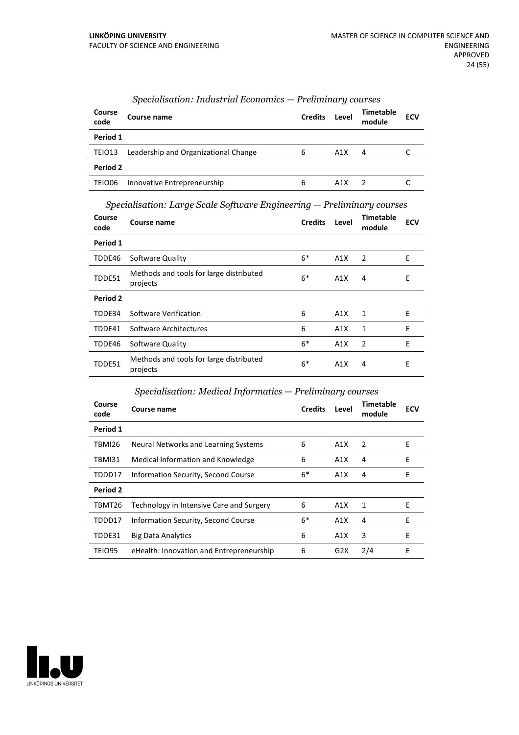| Course<br>code | Course name                          | <b>Credits</b> | Level            | Timetable<br>module | <b>ECV</b> |
|----------------|--------------------------------------|----------------|------------------|---------------------|------------|
| Period 1       |                                      |                |                  |                     |            |
| TEIO13         | Leadership and Organizational Change | 6              | A1X              | 4                   |            |
| Period 2       |                                      |                |                  |                     |            |
| TEIO06         | Innovative Entrepreneurship          | 6              | A <sub>1</sub> X |                     |            |

# *Specialisation: Industrial Economics — Preliminary courses*

*Specialisation: Large Scale Software Engineering — Preliminary courses*

| Course<br>code | Course name                                         | <b>Credits</b> | Level | Timetable<br>module | <b>ECV</b> |
|----------------|-----------------------------------------------------|----------------|-------|---------------------|------------|
| Period 1       |                                                     |                |       |                     |            |
| TDDE46         | Software Quality                                    | $6*$           | A1X   | 2                   | E          |
| TDDE51         | Methods and tools for large distributed<br>projects | $6*$           | A1X   | 4                   | E          |
| Period 2       |                                                     |                |       |                     |            |
| TDDE34         | Software Verification                               | 6              | A1X   | 1                   | E          |
| TDDE41         | Software Architectures                              | 6              | A1X   | 1                   | E          |
| TDDE46         | Software Quality                                    | $6*$           | A1X   | $\overline{2}$      | E          |
| TDDE51         | Methods and tools for large distributed<br>projects | $6*$           | A1X   | 4                   | E          |

## *Specialisation: Medical Informatics — Preliminary courses*

| Course<br>code | Course name                              | <b>Credits</b> | Level | <b>Timetable</b><br>module | <b>ECV</b> |
|----------------|------------------------------------------|----------------|-------|----------------------------|------------|
| Period 1       |                                          |                |       |                            |            |
| TBMI26         | Neural Networks and Learning Systems     | 6              | A1X   | 2                          | Е          |
| <b>TBMI31</b>  | Medical Information and Knowledge        | 6              | A1X   | 4                          | E          |
| TDDD17         | Information Security, Second Course      | $6*$           | A1X   | 4                          | E          |
| Period 2       |                                          |                |       |                            |            |
| TBMT26         | Technology in Intensive Care and Surgery | 6              | A1X   | 1                          | Е          |
| TDDD17         | Information Security, Second Course      | $6*$           | A1X   | 4                          | E          |
| TDDE31         | <b>Big Data Analytics</b>                | 6              | A1X   | 3                          | E          |
| TEIO95         | eHealth: Innovation and Entrepreneurship | 6              | G2X   | 2/4                        | E          |

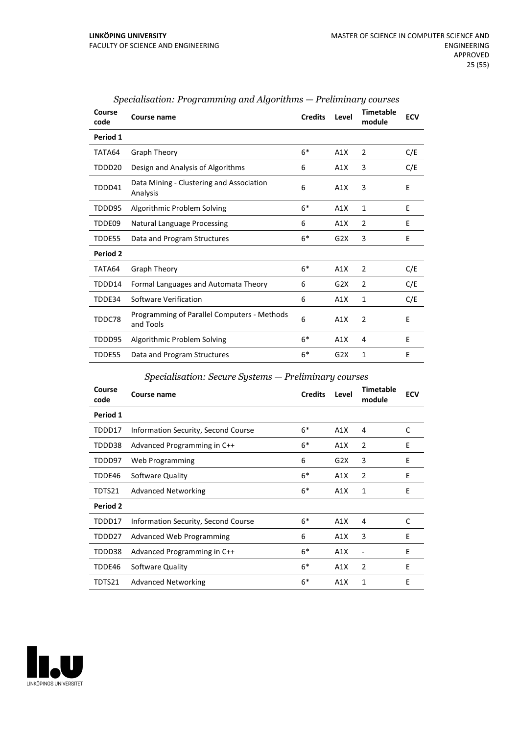| Course<br>code  | Course name                                              | <b>Credits</b> | Level            | <b>Timetable</b><br>module | <b>ECV</b> |
|-----------------|----------------------------------------------------------|----------------|------------------|----------------------------|------------|
| Period 1        |                                                          |                |                  |                            |            |
| TATA64          | Graph Theory                                             | $6*$           | A1X              | 2                          | C/E        |
| TDDD20          | Design and Analysis of Algorithms                        | 6              | A1X              | 3                          | C/E        |
| TDDD41          | Data Mining - Clustering and Association<br>Analysis     | 6              | A1X              | 3                          | E          |
| TDDD95          | Algorithmic Problem Solving                              | $6*$           | A1X              | 1                          | E          |
| TDDE09          | <b>Natural Language Processing</b>                       | 6              | A1X              | 2                          | E          |
| TDDE55          | Data and Program Structures                              | $6*$           | G <sub>2</sub> X | 3                          | E          |
| <b>Period 2</b> |                                                          |                |                  |                            |            |
| TATA64          | Graph Theory                                             | $6*$           | A1X              | 2                          | C/E        |
| TDDD14          | Formal Languages and Automata Theory                     | 6              | G <sub>2</sub> X | 2                          | C/E        |
| TDDE34          | Software Verification                                    | 6              | A1X              | $\mathbf{1}$               | C/E        |
| TDDC78          | Programming of Parallel Computers - Methods<br>and Tools | 6              | A1X              | $\overline{2}$             | E          |
| TDDD95          | Algorithmic Problem Solving                              | $6*$           | A1X              | 4                          | E          |
| TDDE55          | Data and Program Structures                              | $6*$           | G2X              | 1                          | E          |

#### *Specialisation: Programming and Algorithms — Preliminary courses*

#### *Specialisation: Secure Systems — Preliminary courses*

| Course<br>code | <b>Course name</b>                  | <b>Credits</b> | Level | <b>Timetable</b><br>module | <b>ECV</b> |
|----------------|-------------------------------------|----------------|-------|----------------------------|------------|
| Period 1       |                                     |                |       |                            |            |
| TDDD17         | Information Security, Second Course | $6*$           | A1X   | 4                          | C          |
| TDDD38         | Advanced Programming in C++         | $6*$           | A1X   | $\overline{2}$             | E          |
| TDDD97         | Web Programming                     | 6              | G2X   | 3                          | E          |
| TDDE46         | Software Quality                    | $6*$           | A1X   | $\overline{2}$             | E          |
| TDTS21         | <b>Advanced Networking</b>          | $6*$           | A1X   | 1                          | E          |
| Period 2       |                                     |                |       |                            |            |
| TDDD17         | Information Security, Second Course | $6*$           | A1X   | 4                          | C          |
| TDDD27         | Advanced Web Programming            | 6              | A1X   | 3                          | E          |
| TDDD38         | Advanced Programming in C++         | $6*$           | A1X   |                            | E          |
| TDDE46         | Software Quality                    | $6*$           | A1X   | $\overline{2}$             | E          |
| TDTS21         | <b>Advanced Networking</b>          | $6*$           | A1X   | 1                          | E          |

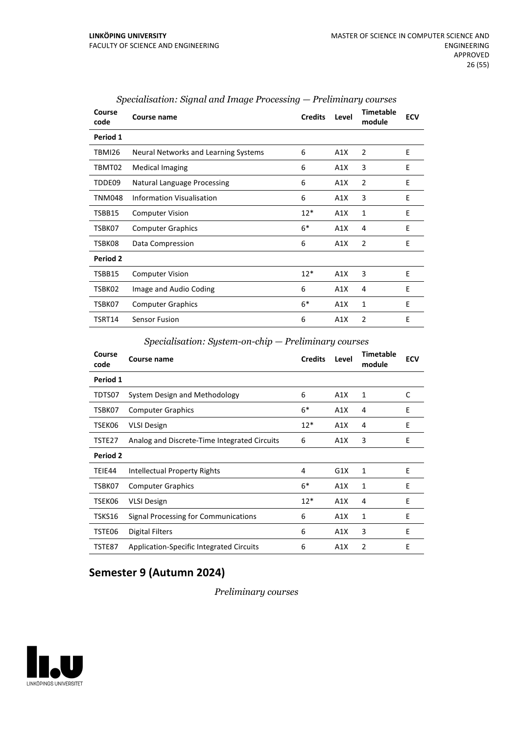| Course<br>code | Course name                          | <b>Credits</b> | Level | <b>Timetable</b><br>module | <b>ECV</b> |
|----------------|--------------------------------------|----------------|-------|----------------------------|------------|
| Period 1       |                                      |                |       |                            |            |
| TBMI26         | Neural Networks and Learning Systems | 6              | A1X   | 2                          | E          |
| TBMT02         | <b>Medical Imaging</b>               | 6              | A1X   | 3                          | E          |
| TDDE09         | Natural Language Processing          | 6              | A1X   | 2                          | E          |
| TNM048         | <b>Information Visualisation</b>     | 6              | A1X   | 3                          | E          |
| TSBB15         | <b>Computer Vision</b>               | $12*$          | A1X   | 1                          | E          |
| TSBK07         | <b>Computer Graphics</b>             | $6*$           | A1X   | 4                          | E          |
| TSBK08         | Data Compression                     | 6              | A1X   | $\overline{2}$             | E          |
| Period 2       |                                      |                |       |                            |            |
| TSBB15         | <b>Computer Vision</b>               | $12*$          | A1X   | 3                          | E          |
| TSBK02         | Image and Audio Coding               | 6              | A1X   | 4                          | E          |
| TSBK07         | <b>Computer Graphics</b>             | $6*$           | A1X   | 1                          | E          |
| TSRT14         | <b>Sensor Fusion</b>                 | 6              | A1X   | 2                          | E          |

| Specialisation: Signal and Image Processing — Preliminary courses |  |  |  |  |
|-------------------------------------------------------------------|--|--|--|--|
|-------------------------------------------------------------------|--|--|--|--|

*Specialisation: System-on-chip — Preliminary courses*

| Course<br>code | Course name                                  | <b>Credits</b> | Level | <b>Timetable</b><br>module | <b>ECV</b> |
|----------------|----------------------------------------------|----------------|-------|----------------------------|------------|
| Period 1       |                                              |                |       |                            |            |
| TDTS07         | System Design and Methodology                | 6              | A1X   | 1                          | C          |
| TSBK07         | <b>Computer Graphics</b>                     | $6*$           | A1X   | 4                          | E          |
| TSEK06         | <b>VLSI Design</b>                           | $12*$          | A1X   | 4                          | E          |
| TSTE27         | Analog and Discrete-Time Integrated Circuits | 6              | A1X   | 3                          | E          |
| Period 2       |                                              |                |       |                            |            |
| TEIE44         | Intellectual Property Rights                 | 4              | G1X   | 1                          | E          |
| TSBK07         | <b>Computer Graphics</b>                     | $6*$           | A1X   | $\mathbf{1}$               | E          |
| TSEK06         | <b>VLSI Design</b>                           | $12*$          | A1X   | 4                          | E          |
| TSKS16         | Signal Processing for Communications         | 6              | A1X   | 1                          | E          |
| TSTE06         | Digital Filters                              | 6              | A1X   | 3                          | E          |
| TSTE87         | Application-Specific Integrated Circuits     | 6              | A1X   | $\overline{2}$             | E          |

# **Semester 9 (Autumn 2024)**

#### *Preliminary courses*

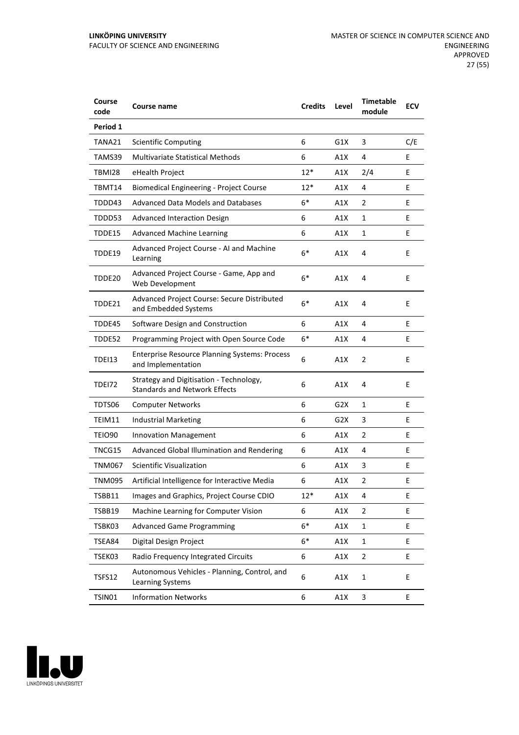| Course<br>code | <b>Course name</b>                                                              | <b>Credits</b> | Level | <b>Timetable</b><br>module | <b>ECV</b> |
|----------------|---------------------------------------------------------------------------------|----------------|-------|----------------------------|------------|
| Period 1       |                                                                                 |                |       |                            |            |
| TANA21         | <b>Scientific Computing</b>                                                     | 6              | G1X   | 3                          | C/E        |
| TAMS39         | <b>Multivariate Statistical Methods</b>                                         | 6              | A1X   | 4                          | E          |
| TBMI28         | eHealth Project                                                                 | $12*$          | A1X   | 2/4                        | E          |
| TBMT14         | <b>Biomedical Engineering - Project Course</b>                                  | $12*$          | A1X   | 4                          | E          |
| TDDD43         | Advanced Data Models and Databases                                              | $6*$           | A1X   | 2                          | E          |
| TDDD53         | <b>Advanced Interaction Design</b>                                              | 6              | A1X   | 1                          | E          |
| TDDE15         | <b>Advanced Machine Learning</b>                                                | 6              | A1X   | 1                          | E          |
| TDDE19         | Advanced Project Course - AI and Machine<br>Learning                            | $6*$           | A1X   | 4                          | E          |
| TDDE20         | Advanced Project Course - Game, App and<br>Web Development                      | $6*$           | A1X   | 4                          | E          |
| TDDE21         | Advanced Project Course: Secure Distributed<br>and Embedded Systems             | $6*$           | A1X   | 4                          | E          |
| TDDE45         | Software Design and Construction                                                | 6              | A1X   | 4                          | E          |
| TDDE52         | Programming Project with Open Source Code                                       | 6*             | A1X   | 4                          | Ε          |
| TDEI13         | <b>Enterprise Resource Planning Systems: Process</b><br>and Implementation      | 6              | A1X   | $\overline{2}$             | E          |
| TDEI72         | Strategy and Digitisation - Technology,<br><b>Standards and Network Effects</b> | 6              | A1X   | 4                          | E          |
| TDTS06         | <b>Computer Networks</b>                                                        | 6              | G2X   | 1                          | E          |
| TEIM11         | <b>Industrial Marketing</b>                                                     | 6              | G2X   | 3                          | E          |
| TEIO90         | Innovation Management                                                           | 6              | A1X   | 2                          | Ε          |
| TNCG15         | Advanced Global Illumination and Rendering                                      | 6              | A1X   | 4                          | E          |
| <b>TNM067</b>  | <b>Scientific Visualization</b>                                                 | 6              | A1X   | 3                          | E          |
| TNM095         | Artificial Intelligence for Interactive Media                                   | 6              | A1X   | 2                          | E          |
| TSBB11         | Images and Graphics, Project Course CDIO                                        | $12*$          | A1X   | 4                          | E          |
| TSBB19         | Machine Learning for Computer Vision                                            | 6              | A1X   | 2                          | E          |
| TSBK03         | <b>Advanced Game Programming</b>                                                | $6*$           | A1X   | $\mathbf 1$                | E          |
| TSEA84         | Digital Design Project                                                          | $6*$           | A1X   | 1                          | E          |
| TSEK03         | Radio Frequency Integrated Circuits                                             | 6              | A1X   | $\overline{2}$             | E          |
| TSFS12         | Autonomous Vehicles - Planning, Control, and<br>Learning Systems                | 6              | A1X   | $\mathbf 1$                | E          |
| TSIN01         | <b>Information Networks</b>                                                     | 6              | A1X   | 3                          | E          |

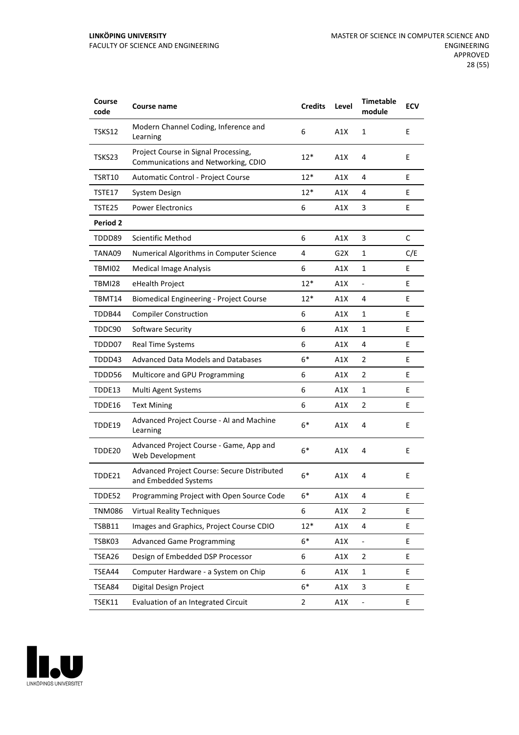| Course<br>code | <b>Course name</b>                                                          | <b>Credits</b> | Level | <b>Timetable</b><br>module | <b>ECV</b> |
|----------------|-----------------------------------------------------------------------------|----------------|-------|----------------------------|------------|
| TSKS12         | Modern Channel Coding, Inference and<br>Learning                            | 6              | A1X   | 1                          | E          |
| TSKS23         | Project Course in Signal Processing,<br>Communications and Networking, CDIO | 12*            | A1X   | 4                          | E          |
| TSRT10         | Automatic Control - Project Course                                          | $12*$          | A1X   | 4                          | E          |
| TSTE17         | System Design                                                               | $12*$          | A1X   | 4                          | E          |
| TSTE25         | <b>Power Electronics</b>                                                    | 6              | A1X   | 3                          | E          |
| Period 2       |                                                                             |                |       |                            |            |
| TDDD89         | Scientific Method                                                           | 6              | A1X   | 3                          | C          |
| TANA09         | Numerical Algorithms in Computer Science                                    | 4              | G2X   | 1                          | C/E        |
| TBMI02         | <b>Medical Image Analysis</b>                                               | 6              | A1X   | 1                          | E          |
| <b>TBMI28</b>  | eHealth Project                                                             | $12*$          | A1X   | $\blacksquare$             | E          |
| TBMT14         | <b>Biomedical Engineering - Project Course</b>                              | $12*$          | A1X   | 4                          | E          |
| TDDB44         | <b>Compiler Construction</b>                                                | 6              | A1X   | 1                          | E          |
| TDDC90         | Software Security                                                           | 6              | A1X   | 1                          | E          |
| TDDD07         | <b>Real Time Systems</b>                                                    | 6              | A1X   | 4                          | E          |
| TDDD43         | <b>Advanced Data Models and Databases</b>                                   | $6*$           | A1X   | 2                          | E          |
| TDDD56         | Multicore and GPU Programming                                               | 6              | A1X   | 2                          | E          |
| TDDE13         | Multi Agent Systems                                                         | 6              | A1X   | 1                          | E          |
| TDDE16         | <b>Text Mining</b>                                                          | 6              | A1X   | 2                          | E          |
| TDDE19         | Advanced Project Course - AI and Machine<br>Learning                        | $6*$           | A1X   | 4                          | E          |
| TDDE20         | Advanced Project Course - Game, App and<br>Web Development                  | $6*$           | A1X   | 4                          | E          |
| TDDE21         | Advanced Project Course: Secure Distributed<br>and Embedded Systems         | $6*$           | A1X   | 4                          | E          |
| TDDE52         | Programming Project with Open Source Code                                   | $6*$           | A1X   | 4                          | E          |
| <b>TNM086</b>  | <b>Virtual Reality Techniques</b>                                           | 6              | A1X   | 2                          | E          |
| TSBB11         | Images and Graphics, Project Course CDIO                                    | $12*$          | A1X   | 4                          | E.         |
| TSBK03         | <b>Advanced Game Programming</b>                                            | $6*$           | A1X   |                            | E          |
| TSEA26         | Design of Embedded DSP Processor                                            | 6              | A1X   | 2                          | E          |
| TSEA44         | Computer Hardware - a System on Chip                                        | 6              | A1X   | $\mathbf 1$                | E          |
| TSEA84         | Digital Design Project                                                      | $6*$           | A1X   | 3                          | E          |
| TSEK11         | Evaluation of an Integrated Circuit                                         | $\overline{2}$ | A1X   | $\overline{\phantom{0}}$   | E          |

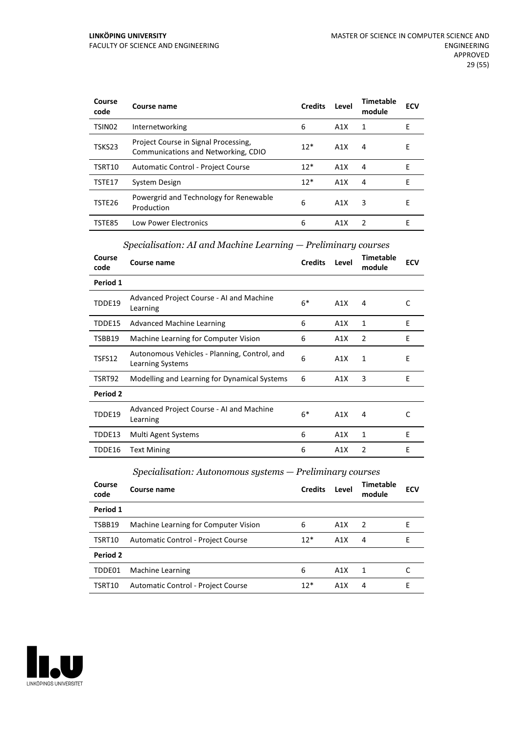| Course<br>code     | Course name                                                                 | <b>Credits</b> | Level | Timetable<br>module | <b>ECV</b> |
|--------------------|-----------------------------------------------------------------------------|----------------|-------|---------------------|------------|
| TSIN <sub>02</sub> | Internetworking                                                             | 6              | A1X   | 1                   | Е          |
| TSKS23             | Project Course in Signal Processing,<br>Communications and Networking, CDIO | $12*$          | A1X   | 4                   | E          |
| TSRT10             | Automatic Control - Project Course                                          | $12*$          | A1X   | 4                   | F          |
| TSTE17             | System Design                                                               | $12*$          | A1X   | 4                   | F          |
| TSTE26             | Powergrid and Technology for Renewable<br>Production                        | 6              | A1X   | 3                   | F          |
| TSTE85             | <b>Low Power Electronics</b>                                                | 6              | A1X   | 2                   | F          |

## *Specialisation: AI and Machine Learning — Preliminary courses*

| Course<br>code | Course name                                                      | <b>Credits</b> | Level | <b>Timetable</b><br>module | ECV |
|----------------|------------------------------------------------------------------|----------------|-------|----------------------------|-----|
| Period 1       |                                                                  |                |       |                            |     |
| TDDE19         | Advanced Project Course - AI and Machine<br>Learning             | $6*$           | A1X   | 4                          | C   |
| TDDE15         | <b>Advanced Machine Learning</b>                                 | 6              | A1X   | 1                          | E   |
| TSBB19         | Machine Learning for Computer Vision                             | 6              | A1X   | 2                          | E   |
| TSFS12         | Autonomous Vehicles - Planning, Control, and<br>Learning Systems | 6              | A1X   | 1                          | E   |
| TSRT92         | Modelling and Learning for Dynamical Systems                     | 6              | A1X   | 3                          | E   |
| Period 2       |                                                                  |                |       |                            |     |
| TDDE19         | Advanced Project Course - AI and Machine<br>Learning             | $6*$           | A1X   | 4                          | C   |
| TDDE13         | Multi Agent Systems                                              | 6              | A1X   | 1                          | E   |
| TDDE16         | <b>Text Mining</b>                                               | 6              | A1X   | 2                          | E   |

*Specialisation: Autonomous systems — Preliminary courses*

| Course<br>code | Course name                          | <b>Credits</b> | Level            | <b>Timetable</b><br>module | <b>ECV</b> |
|----------------|--------------------------------------|----------------|------------------|----------------------------|------------|
| Period 1       |                                      |                |                  |                            |            |
| TSBB19         | Machine Learning for Computer Vision | 6              | A1X              | 2                          | F          |
| TSRT10         | Automatic Control - Project Course   | $12*$          | A1X              | 4                          | F          |
| Period 2       |                                      |                |                  |                            |            |
| TDDE01         | Machine Learning                     | 6              | A1X              | 1                          |            |
| TSRT10         | Automatic Control - Project Course   | $12*$          | A <sub>1</sub> X | 4                          | E          |

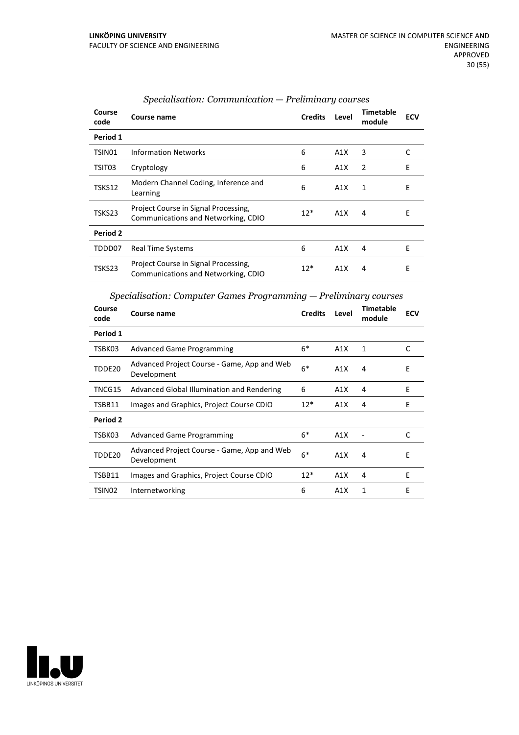| Course<br>code | Course name                                                                 | <b>Credits</b> | Level | <b>Timetable</b><br>module | <b>ECV</b> |
|----------------|-----------------------------------------------------------------------------|----------------|-------|----------------------------|------------|
| Period 1       |                                                                             |                |       |                            |            |
| TSIN01         | <b>Information Networks</b>                                                 | 6              | A1X   | 3                          | C          |
| TSIT03         | Cryptology                                                                  | 6              | A1X   | 2                          | Ε          |
| TSKS12         | Modern Channel Coding, Inference and<br>Learning                            | 6              | A1X   | $\mathbf{1}$               | E          |
| TSKS23         | Project Course in Signal Processing,<br>Communications and Networking, CDIO | $12*$          | A1X   | 4                          | Ε          |
| Period 2       |                                                                             |                |       |                            |            |
| TDDD07         | <b>Real Time Systems</b>                                                    | 6              | A1X   | 4                          | E          |
| TSKS23         | Project Course in Signal Processing,<br>Communications and Networking, CDIO | $12*$          | A1X   | 4                          | Ε          |

#### *Specialisation: Communication — Preliminary courses*

*Specialisation: Computer Games Programming — Preliminary courses*

| Course<br>code | Course name                                                | <b>Credits</b> | Level | <b>Timetable</b><br>module | <b>ECV</b> |
|----------------|------------------------------------------------------------|----------------|-------|----------------------------|------------|
| Period 1       |                                                            |                |       |                            |            |
| TSBK03         | <b>Advanced Game Programming</b>                           | $6*$           | A1X   | 1                          | C          |
| TDDE20         | Advanced Project Course - Game, App and Web<br>Development | $6*$           | A1X   | 4                          | Ε          |
| TNCG15         | Advanced Global Illumination and Rendering                 | 6              | A1X   | 4                          | E          |
| TSBB11         | Images and Graphics, Project Course CDIO                   | $12*$          | A1X   | 4                          | E          |
| Period 2       |                                                            |                |       |                            |            |
| TSBK03         | <b>Advanced Game Programming</b>                           | $6*$           | A1X   |                            | C          |
| TDDE20         | Advanced Project Course - Game, App and Web<br>Development | $6*$           | A1X   | 4                          | Е          |
| TSBB11         | Images and Graphics, Project Course CDIO                   | $12*$          | A1X   | 4                          | F          |
| TSIN02         | Internetworking                                            | 6              | A1X   | 1                          | E          |

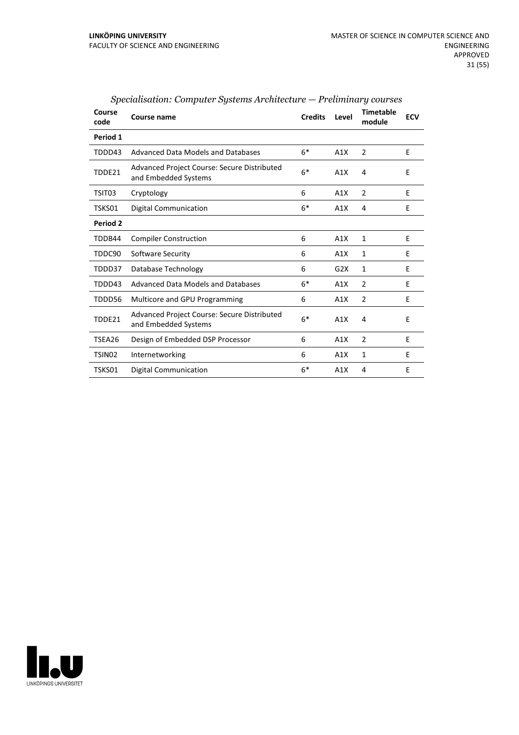| Course<br>code | Course name                                                         | <b>Credits</b> | Level | <b>Timetable</b><br>module | <b>ECV</b> |
|----------------|---------------------------------------------------------------------|----------------|-------|----------------------------|------------|
| Period 1       |                                                                     |                |       |                            |            |
| TDDD43         | Advanced Data Models and Databases                                  | $6*$           | A1X   | 2                          | E          |
| TDDE21         | Advanced Project Course: Secure Distributed<br>and Embedded Systems | $6*$           | A1X   | 4                          | E          |
| TSIT03         | Cryptology                                                          | 6              | A1X   | $\overline{2}$             | E          |
| TSKS01         | <b>Digital Communication</b>                                        | $6*$           | A1X   | 4                          | E          |
| Period 2       |                                                                     |                |       |                            |            |
| TDDB44         | <b>Compiler Construction</b>                                        | 6              | A1X   | 1                          | E          |
| TDDC90         | Software Security                                                   | 6              | A1X   | 1                          | E          |
| TDDD37         | Database Technology                                                 | 6              | G2X   | $\mathbf{1}$               | E          |
| TDDD43         | Advanced Data Models and Databases                                  | $6*$           | A1X   | $\overline{2}$             | E          |
| TDDD56         | Multicore and GPU Programming                                       | 6              | A1X   | 2                          | E          |
| TDDE21         | Advanced Project Course: Secure Distributed<br>and Embedded Systems | $6*$           | A1X   | 4                          | E          |
| TSEA26         | Design of Embedded DSP Processor                                    | 6              | A1X   | 2                          | E          |
| TSIN02         | Internetworking                                                     | 6              | A1X   | $\mathbf{1}$               | E          |
| TSKS01         | Digital Communication                                               | $6*$           | A1X   | 4                          | E          |

*Specialisation: Computer Systems Architecture — Preliminary courses*

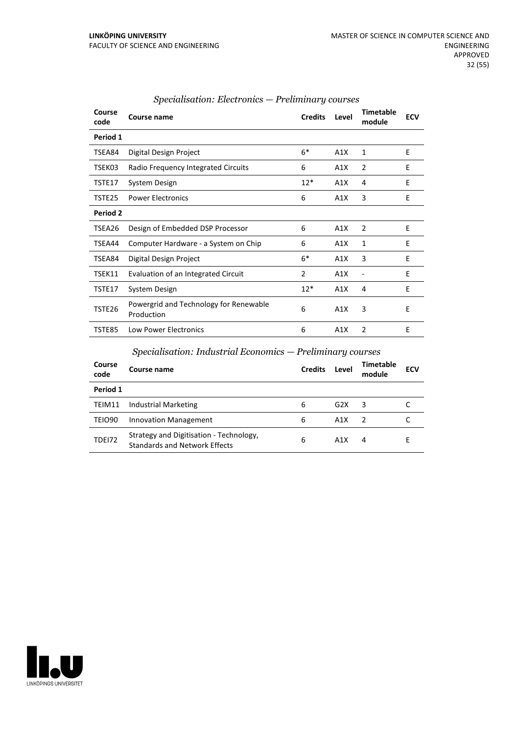| Course<br>code  | Course name                                          | <b>Credits</b> | Level | <b>Timetable</b><br>module | <b>ECV</b> |
|-----------------|------------------------------------------------------|----------------|-------|----------------------------|------------|
| Period 1        |                                                      |                |       |                            |            |
| TSEA84          | Digital Design Project                               | $6*$           | A1X   | 1                          | E          |
| TSEK03          | Radio Frequency Integrated Circuits                  | 6              | A1X   | $\overline{2}$             | E          |
| TSTE17          | System Design                                        | $12*$          | A1X   | 4                          | E          |
| TSTE25          | <b>Power Electronics</b>                             | 6              | A1X   | 3                          | Ε          |
| <b>Period 2</b> |                                                      |                |       |                            |            |
| TSEA26          | Design of Embedded DSP Processor                     | 6              | A1X   | $\overline{2}$             | E          |
| TSEA44          | Computer Hardware - a System on Chip                 | 6              | A1X   | $\mathbf{1}$               | E          |
| TSEA84          | Digital Design Project                               | $6*$           | A1X   | 3                          | Ε          |
| TSEK11          | Evaluation of an Integrated Circuit                  | 2              | A1X   | -                          | E          |
| TSTE17          | System Design                                        | $12*$          | A1X   | 4                          | E          |
| TSTE26          | Powergrid and Technology for Renewable<br>Production | 6              | A1X   | 3                          | E          |
| <b>TSTE85</b>   | <b>Low Power Electronics</b>                         | 6              | A1X   | $\overline{2}$             | E          |

#### *Specialisation: Electronics — Preliminary courses*

## *Specialisation: Industrial Economics — Preliminary courses*

| Course<br>code     | Course name                                                                     | <b>Credits</b> | Level | <b>Timetable</b><br>module | <b>ECV</b> |
|--------------------|---------------------------------------------------------------------------------|----------------|-------|----------------------------|------------|
| Period 1           |                                                                                 |                |       |                            |            |
| TEIM11             | <b>Industrial Marketing</b>                                                     | 6              | G2X   | 3                          |            |
| TEIO <sub>90</sub> | Innovation Management                                                           | 6              | A1X   | $\mathcal{L}$              |            |
| <b>TDE172</b>      | Strategy and Digitisation - Technology,<br><b>Standards and Network Effects</b> | 6              | A1X   | 4                          |            |

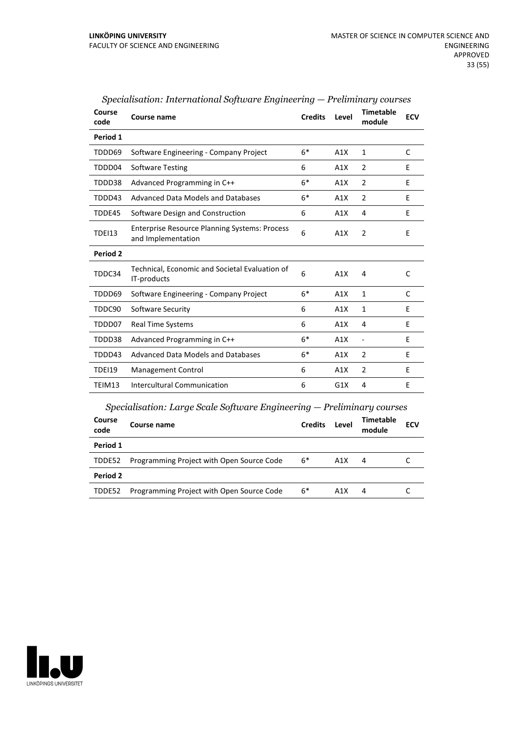| Course<br>code | Course name                                                                | <b>Credits</b> | Level | <b>Timetable</b><br>module | <b>ECV</b>   |
|----------------|----------------------------------------------------------------------------|----------------|-------|----------------------------|--------------|
| Period 1       |                                                                            |                |       |                            |              |
| TDDD69         | Software Engineering - Company Project                                     | $6*$           | A1X   | $\mathbf{1}$               | C            |
| TDDD04         | <b>Software Testing</b>                                                    | 6              | A1X   | 2                          | E            |
| TDDD38         | Advanced Programming in C++                                                | $6*$           | A1X   | 2                          | E            |
| TDDD43         | <b>Advanced Data Models and Databases</b>                                  | $6*$           | A1X   | $\overline{2}$             | E            |
| TDDE45         | Software Design and Construction                                           | 6              | A1X   | 4                          | E            |
| <b>TDEI13</b>  | <b>Enterprise Resource Planning Systems: Process</b><br>and Implementation | 6              | A1X   | $\overline{2}$             | E            |
| Period 2       |                                                                            |                |       |                            |              |
| TDDC34         | Technical, Economic and Societal Evaluation of<br>IT-products              | 6              | A1X   | 4                          | $\mathsf{C}$ |
| TDDD69         | Software Engineering - Company Project                                     | $6*$           | A1X   | $\mathbf{1}$               | C            |
| TDDC90         | Software Security                                                          | 6              | A1X   | $\mathbf{1}$               | E            |
| TDDD07         | <b>Real Time Systems</b>                                                   | 6              | A1X   | 4                          | E            |
| TDDD38         | Advanced Programming in C++                                                | $6*$           | A1X   | $\overline{\phantom{a}}$   | E            |
| TDDD43         | <b>Advanced Data Models and Databases</b>                                  | $6*$           | A1X   | $\overline{2}$             | E            |
| <b>TDEI19</b>  | Management Control                                                         | 6              | A1X   | 2                          | E            |
| TEIM13         | <b>Intercultural Communication</b>                                         | 6              | G1X   | 4                          | E            |
|                | $Specialisation: Large Scale Software Engineering - Preliminary courses$   |                |       |                            |              |
| Course<br>code | Course name                                                                | <b>Credits</b> | Level | <b>Timetable</b><br>module | <b>ECV</b>   |
| Period 1       |                                                                            |                |       |                            |              |
| TDDE52         | Programming Project with Open Source Code                                  | $6*$           | A1X   | 4                          | C            |

TDDE52 Programming Project with Open Source Code 6\* A1X 4 C

*Specialisation: International Software Engineering — Preliminary courses*

# LINKÖPINGS UNIVERSITET

**Period 2**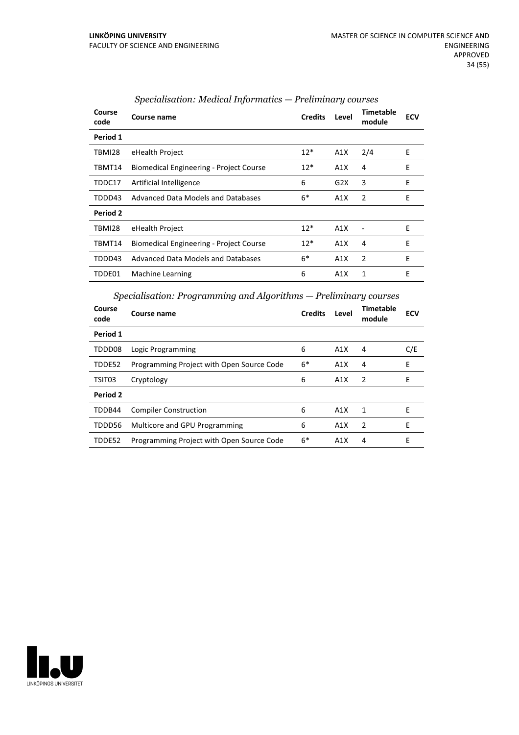| Course<br>code  | Course name                                    | <b>Credits</b> | Level | Timetable<br>module | <b>ECV</b> |
|-----------------|------------------------------------------------|----------------|-------|---------------------|------------|
| Period 1        |                                                |                |       |                     |            |
| TBMI28          | eHealth Project                                | $12*$          | A1X   | 2/4                 | E          |
| TBMT14          | <b>Biomedical Engineering - Project Course</b> | $12*$          | A1X   | 4                   | E          |
| TDDC17          | Artificial Intelligence                        | 6              | G2X   | 3                   | E          |
| TDDD43          | Advanced Data Models and Databases             | $6*$           | A1X   | 2                   | E          |
| <b>Period 2</b> |                                                |                |       |                     |            |
| TBMI28          | eHealth Project                                | $12*$          | A1X   |                     | E          |
| TBMT14          | <b>Biomedical Engineering - Project Course</b> | $12*$          | A1X   | 4                   | E          |
| TDDD43          | Advanced Data Models and Databases             | $6*$           | A1X   | $\overline{2}$      | E          |
| TDDE01          | Machine Learning                               | 6              | A1X   | 1                   | E          |

#### *Specialisation: Medical Informatics — Preliminary courses*

*Specialisation: Programming and Algorithms — Preliminary courses*

| Course<br>code | Course name                               | <b>Credits</b> | Level | <b>Timetable</b><br>module | <b>ECV</b> |
|----------------|-------------------------------------------|----------------|-------|----------------------------|------------|
| Period 1       |                                           |                |       |                            |            |
| TDDD08         | Logic Programming                         | 6              | A1X   | 4                          | C/E        |
| TDDE52         | Programming Project with Open Source Code | $6*$           | A1X   | 4                          | E          |
| TSIT03         | Cryptology                                | 6              | A1X   | 2                          | Е          |
| Period 2       |                                           |                |       |                            |            |
| TDDB44         | <b>Compiler Construction</b>              | 6              | A1X   | 1                          | F          |
| TDDD56         | Multicore and GPU Programming             | 6              | A1X   | 2                          | F          |
| TDDE52         | Programming Project with Open Source Code | $6*$           | A1X   | 4                          | F          |

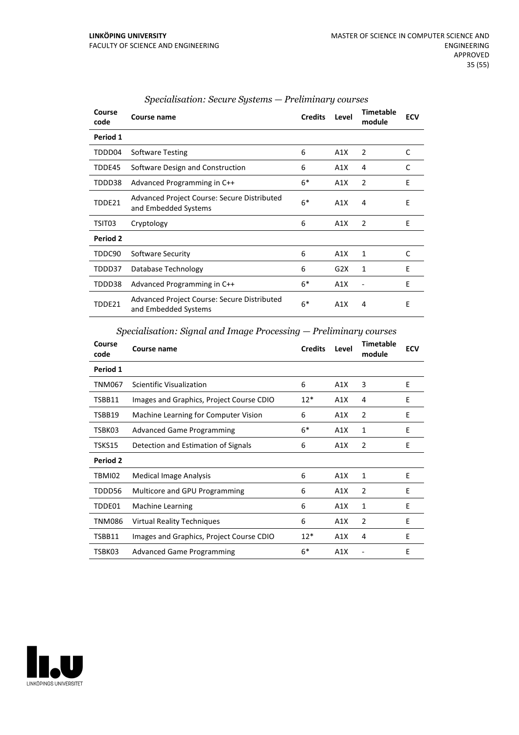| Course<br>code | Course name                                                         | <b>Credits</b> | Level | <b>Timetable</b><br>module | <b>ECV</b> |
|----------------|---------------------------------------------------------------------|----------------|-------|----------------------------|------------|
| Period 1       |                                                                     |                |       |                            |            |
| TDDD04         | Software Testing                                                    | 6              | A1X   | 2                          | C          |
| TDDE45         | Software Design and Construction                                    | 6              | A1X   | 4                          | C          |
| TDDD38         | Advanced Programming in C++                                         | $6*$           | A1X   | $\overline{2}$             | E          |
| TDDE21         | Advanced Project Course: Secure Distributed<br>and Embedded Systems | $6*$           | A1X   | 4                          | E          |
| TSIT03         | Cryptology                                                          | 6              | A1X   | $\overline{2}$             | Ε          |
| Period 2       |                                                                     |                |       |                            |            |
| TDDC90         | Software Security                                                   | 6              | A1X   | 1                          | C          |
| TDDD37         | Database Technology                                                 | 6              | G2X   | 1                          | E          |
| TDDD38         | Advanced Programming in C++                                         | $6*$           | A1X   |                            | E          |
| TDDE21         | Advanced Project Course: Secure Distributed<br>and Embedded Systems | $6*$           | A1X   | 4                          | E          |

## *Specialisation: Secure Systems — Preliminary courses*

*Specialisation: Signal and Image Processing — Preliminary courses*

| Course<br>code | Course name                              | <b>Credits</b> | Level | <b>Timetable</b><br>module | <b>ECV</b> |
|----------------|------------------------------------------|----------------|-------|----------------------------|------------|
| Period 1       |                                          |                |       |                            |            |
| TNM067         | Scientific Visualization                 | 6              | A1X   | 3                          | E          |
| TSBB11         | Images and Graphics, Project Course CDIO | $12*$          | A1X   | 4                          | E          |
| TSBB19         | Machine Learning for Computer Vision     | 6              | A1X   | $\overline{2}$             | E          |
| TSBK03         | <b>Advanced Game Programming</b>         | $6*$           | A1X   | 1                          | F          |
| TSKS15         | Detection and Estimation of Signals      | 6              | A1X   | 2                          | E          |
| Period 2       |                                          |                |       |                            |            |
| TBMI02         | <b>Medical Image Analysis</b>            | 6              | A1X   | 1                          | E          |
| TDDD56         | Multicore and GPU Programming            | 6              | A1X   | 2                          | E          |
| TDDE01         | Machine Learning                         | 6              | A1X   | 1                          | E          |
| TNM086         | <b>Virtual Reality Techniques</b>        | 6              | A1X   | 2                          | E          |
| TSBB11         | Images and Graphics, Project Course CDIO | $12*$          | A1X   | 4                          | E          |
| TSBK03         | <b>Advanced Game Programming</b>         | $6*$           | A1X   |                            | E          |

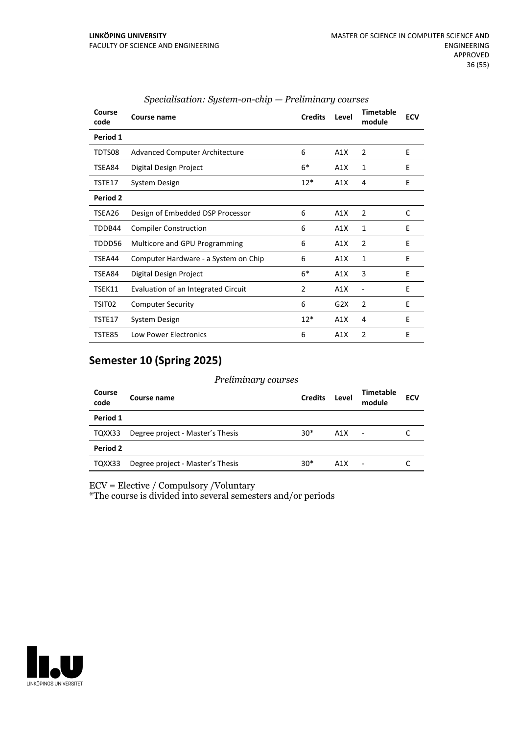| Course<br>code | Course name                           | <b>Credits</b> | Level | <b>Timetable</b><br>module | <b>ECV</b> |
|----------------|---------------------------------------|----------------|-------|----------------------------|------------|
| Period 1       |                                       |                |       |                            |            |
| TDTS08         | <b>Advanced Computer Architecture</b> | 6              | A1X   | 2                          | E          |
| TSEA84         | Digital Design Project                | $6*$           | A1X   | 1                          | E          |
| TSTE17         | System Design                         | $12*$          | A1X   | 4                          | E          |
| Period 2       |                                       |                |       |                            |            |
| TSEA26         | Design of Embedded DSP Processor      | 6              | A1X   | 2                          | C          |
| TDDB44         | <b>Compiler Construction</b>          | 6              | A1X   | 1                          | E          |
| TDDD56         | Multicore and GPU Programming         | 6              | A1X   | $\overline{2}$             | E          |
| TSEA44         | Computer Hardware - a System on Chip  | 6              | A1X   | 1                          | E          |
| TSEA84         | Digital Design Project                | $6*$           | A1X   | 3                          | E          |
| TSEK11         | Evaluation of an Integrated Circuit   | 2              | A1X   |                            | E          |
| TSIT02         | <b>Computer Security</b>              | 6              | G2X   | $\overline{2}$             | E          |
| TSTE17         | System Design                         | $12*$          | A1X   | 4                          | E          |
| TSTE85         | <b>Low Power Electronics</b>          | 6              | A1X   | 2                          | E          |

#### *Specialisation: System-on-chip — Preliminary courses*

# **Semester 10 (Spring 2025)**

#### *Preliminary courses*

| Course<br>code  | Course name                      | <b>Credits</b> | Level | <b>Timetable</b><br>module | <b>ECV</b> |
|-----------------|----------------------------------|----------------|-------|----------------------------|------------|
| Period 1        |                                  |                |       |                            |            |
| TQXX33          | Degree project - Master's Thesis | $30*$          | A1X   | $\blacksquare$             |            |
| <b>Period 2</b> |                                  |                |       |                            |            |
| TQXX33          | Degree project - Master's Thesis | $30*$          | A1X   | ٠                          |            |

ECV = Elective / Compulsory /Voluntary

\*The course is divided into several semesters and/or periods

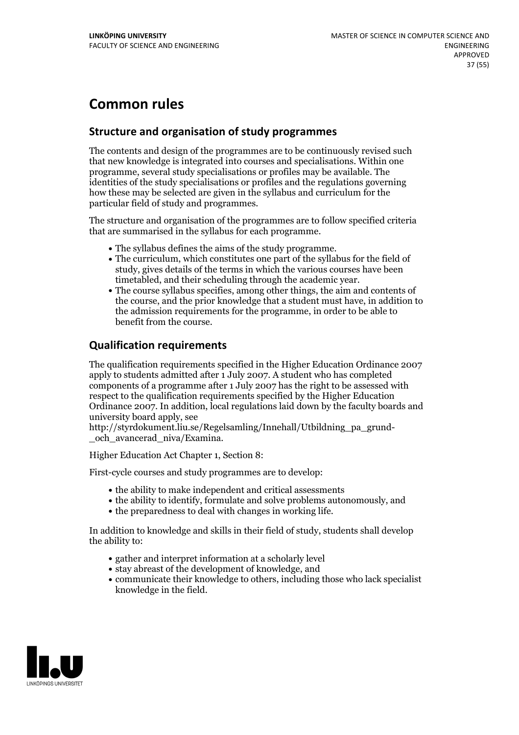# **Common rules**

# **Structure and organisation of study programmes**

The contents and design of the programmes are to be continuously revised such that new knowledge is integrated into courses and specialisations. Within one programme, several study specialisations or profiles may be available. The identities of the study specialisations or profiles and the regulations governing how these may be selected are given in the syllabus and curriculum for the particular field of study and programmes.

The structure and organisation of the programmes are to follow specified criteria that are summarised in the syllabus for each programme.

- 
- The syllabus defines the aims of the study programme.<br>• The curriculum, which constitutes one part of the syllabus for the field of study, gives details of the terms in which the various courses have been
- The course syllabus specifies, among other things, the aim and contents of the course, and the prior knowledge that a student must have, in addition to the admission requirements for the programme, in order to be able to benefit from the course.

# **Qualification requirements**

The qualification requirements specified in the Higher Education Ordinance 2007 apply to students admitted after 1 July 2007. A student who has completed components of a programme after 1 July 2007 has the right to be assessed with respect to the qualification requirements specified by the Higher Education Ordinance 2007. In addition, local regulations laid down by the faculty boards and university board apply, see

http://styrdokument.liu.se/Regelsamling/Innehall/Utbildning\_pa\_grund-och\_avancerad\_niva/Examina.

Higher Education Act Chapter 1, Section 8:

First-cycle courses and study programmes are to develop:

- the ability to make independent and critical assessments
- the ability to identify, formulate and solve problems autonomously, and
- the preparedness to deal with changes in working life.

In addition to knowledge and skills in their field of study, students shall develop the ability to:

- gather and interpret information at a scholarly level
- stay abreast of the development of knowledge, and
- communicate their knowledge to others, including those who lack specialist knowledge in the field.

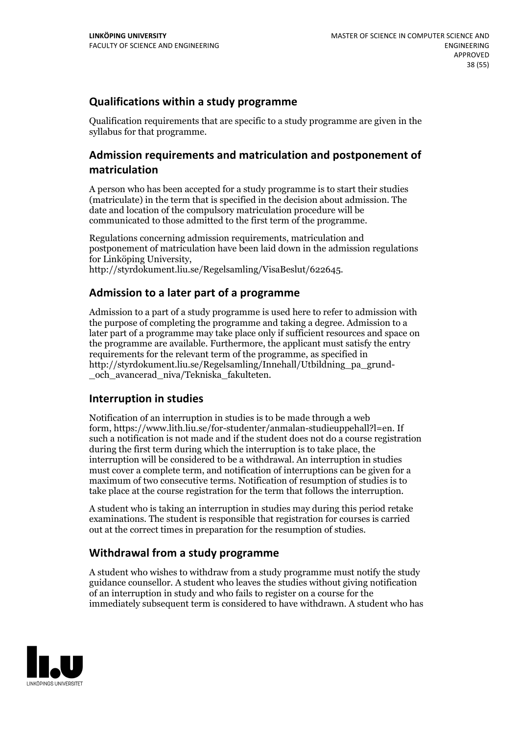# **Qualifications within a study programme**

Qualification requirements that are specific to a study programme are given in the syllabus for that programme.

# **Admission requirements and matriculation and postponement of matriculation**

A person who has been accepted for a study programme is to start their studies (matriculate) in the term that is specified in the decision about admission. The date and location of the compulsory matriculation procedure will be communicated to those admitted to the first term of the programme.

Regulations concerning admission requirements, matriculation and postponement of matriculation have been laid down in the admission regulations for Linköping University, http://styrdokument.liu.se/Regelsamling/VisaBeslut/622645.

# **Admission to a later part of a programme**

Admission to a part of a study programme is used here to refer to admission with the purpose of completing the programme and taking a degree. Admission to a later part of a programme may take place only if sufficient resources and space on the programme are available. Furthermore, the applicant must satisfy the entry requirements for the relevant term of the programme, as specified in http://styrdokument.liu.se/Regelsamling/Innehall/Utbildning\_pa\_grund- \_och\_avancerad\_niva/Tekniska\_fakulteten.

# **Interruption in studies**

Notification of an interruption in studies is to be made through a web form, https://www.lith.liu.se/for-studenter/anmalan-studieuppehall?l=en. If such a notification is not made and if the student does not do a course registration during the first term during which the interruption is to take place, the interruption will be considered to be a withdrawal. An interruption in studies must cover a complete term, and notification of interruptions can be given for a maximum of two consecutive terms. Notification of resumption of studies is to take place at the course registration for the term that follows the interruption.

A student who is taking an interruption in studies may during this period retake examinations. The student is responsible that registration for courses is carried out at the correct times in preparation for the resumption of studies.

# **Withdrawal from a study programme**

A student who wishes to withdraw from a study programme must notify the study guidance counsellor. A student who leaves the studies without giving notification of an interruption in study and who fails to register on a course for the immediately subsequent term is considered to have withdrawn. A student who has

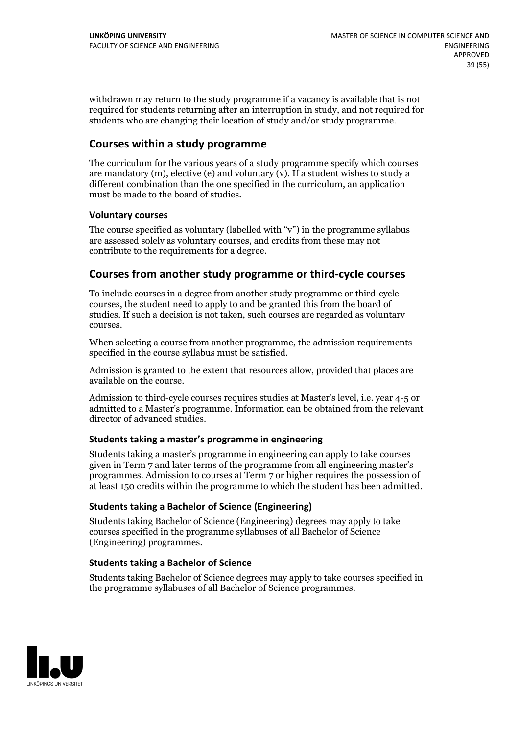withdrawn may return to the study programme if a vacancy is available that is not required for students returning after an interruption in study, and not required for students who are changing their location of study and/or study programme.

# **Courses within a study programme**

The curriculum for the various years of a study programme specify which courses are mandatory  $(m)$ , elective (e) and voluntary  $(v)$ . If a student wishes to study a different combination than the one specified in the curriculum, an application must be made to the board of studies.

#### **Voluntarycourses**

The course specified as voluntary (labelled with "v") in the programme syllabus are assessed solely as voluntary courses, and credits from these may not contribute to the requirements for a degree.

#### **Courses from another study programme orthird-cycle courses**

To include courses in a degree from another study programme or third-cycle courses, the student need to apply to and be granted this from the board of studies. If such a decision is not taken, such courses are regarded as voluntary courses.

When selecting a course from another programme, the admission requirements specified in the course syllabus must be satisfied.

Admission is granted to the extent that resources allow, provided that places are available on the course.

Admission to third-cycle courses requires studies at Master's level, i.e. year 4-5 or admitted to a Master's programme. Information can be obtained from the relevant director of advanced studies.

#### **Students taking a master's programme in engineering**

Students taking a master's programme in engineering can apply to take courses given in Term 7 and later terms of the programme from all engineering master's programmes. Admission to courses at Term 7 or higher requires the possession of at least 150 credits within the programme to which the student has been admitted.

#### **Students taking a Bachelor of Science (Engineering)**

Students taking Bachelor of Science (Engineering) degrees may apply to take courses specified in the programme syllabuses of all Bachelor of Science (Engineering) programmes.

#### **Students taking a Bachelor of Science**

Students taking Bachelor of Science degrees may apply to take courses specified in the programme syllabuses of all Bachelor of Science programmes.

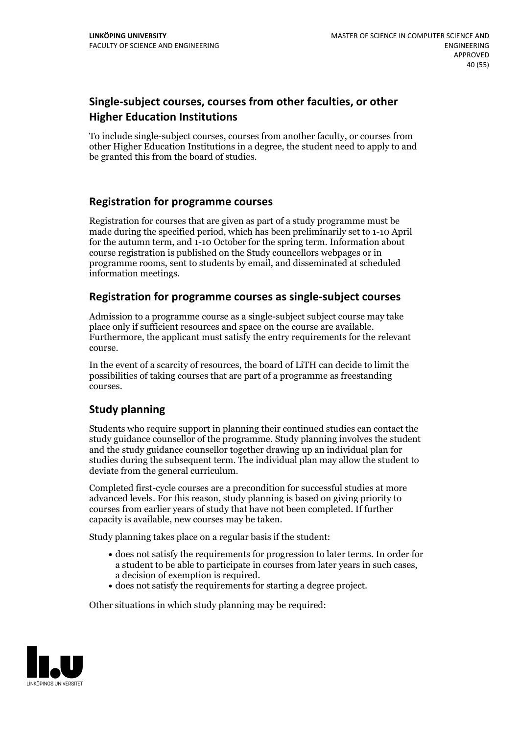# **Single-subject courses, courses from other faculties, or other Higher Education Institutions**

To include single-subject courses, courses from another faculty, or courses from other Higher Education Institutions in a degree, the student need to apply to and be granted this from the board of studies.

# **Registration for programme courses**

Registration for courses that are given as part of a study programme must be made during the specified period, which has been preliminarily set to 1-10 April for the autumn term, and 1-10 October for the spring term. Information about course registration is published on the Study councellors webpages or in programme rooms, sent to students by email, and disseminated at scheduled information meetings.

# **Registration for programme courses as single-subject courses**

Admission to a programme course as a single-subject subject course may take place only if sufficient resources and space on the course are available. Furthermore, the applicant must satisfy the entry requirements for the relevant course.

In the event of a scarcity of resources, the board of LiTH can decide to limit the possibilities of taking courses that are part of a programme as freestanding courses.

# **Study planning**

Students who require support in planning their continued studies can contact the study guidance counsellor of the programme. Study planning involves the student and the study guidance counsellor together drawing up an individual plan for studies during the subsequent term. The individual plan may allow the student to deviate from the general curriculum.

Completed first-cycle courses are a precondition for successful studies at more advanced levels. For this reason, study planning is based on giving priority to courses from earlier years of study that have not been completed. If further capacity is available, new courses may be taken.

Study planning takes place on a regular basis if the student:

- does not satisfy the requirements for progression to later terms. In order for a student to be able to participate in courses from later years in such cases, a decision of exemption is required.<br>
• does not satisfy the requirements for starting a degree project.
- 

Other situations in which study planning may be required:

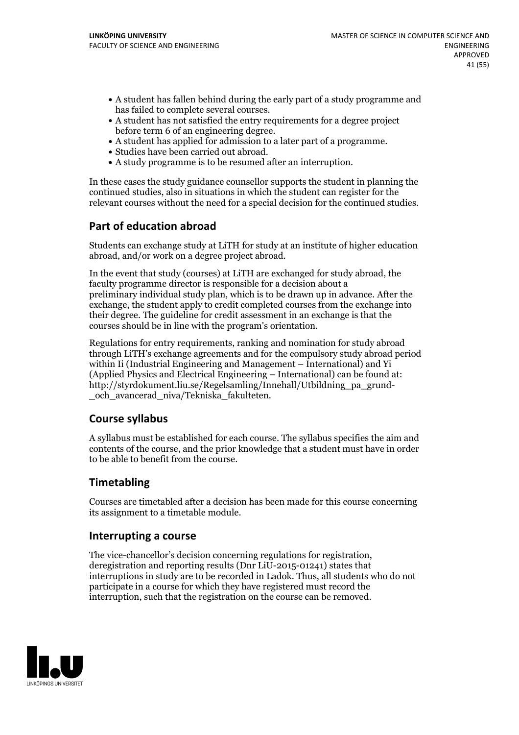- A student has fallen behind during the early part of a study programme and
- has failed to complete several courses.<br>• A student has not satisfied the entry requirements for a degree project
- before term 6 of an engineering degree.<br>
 A student has applied for admission to a later part of a programme.<br>
 Studies have been carried out abroad.<br>
 A study programme is to be resumed after an interruption.
- 
- 

In these cases the study guidance counsellor supports the student in planning the continued studies, also in situations in which the student can register for the relevant courses without the need for a special decision for the continued studies.

# **Part of education abroad**

Students can exchange study at LiTH for study at an institute of higher education abroad, and/or work on a degree project abroad.

In the event that study (courses) at LiTH are exchanged for study abroad, the faculty programme director is responsible for a decision about a preliminary individual study plan, which is to be drawn up in advance. After the exchange, the student apply to credit completed courses from the exchange into their degree. The guideline for credit assessment in an exchange is that the courses should be in line with the program's orientation.

Regulations for entry requirements, ranking and nomination for study abroad through LiTH's exchange agreements and for the compulsory study abroad period within Ii (Industrial Engineering and Management – International) and Yi (Applied Physics and Electrical Engineering – International) can be found at: http://styrdokument.liu.se/Regelsamling/Innehall/Utbildning\_pa\_grund- \_och\_avancerad\_niva/Tekniska\_fakulteten.

# **Course syllabus**

A syllabus must be established for each course. The syllabus specifies the aim and contents of the course, and the prior knowledge that a student must have in order to be able to benefit from the course.

# **Timetabling**

Courses are timetabled after a decision has been made for this course concerning its assignment to a timetable module.

#### **Interrupting a course**

The vice-chancellor's decision concerning regulations for registration, deregistration and reporting results (Dnr LiU-2015-01241) states that interruptions in study are to be recorded in Ladok. Thus, all students who do not participate in a course for which they have registered must record the interruption, such that the registration on the course can be removed.

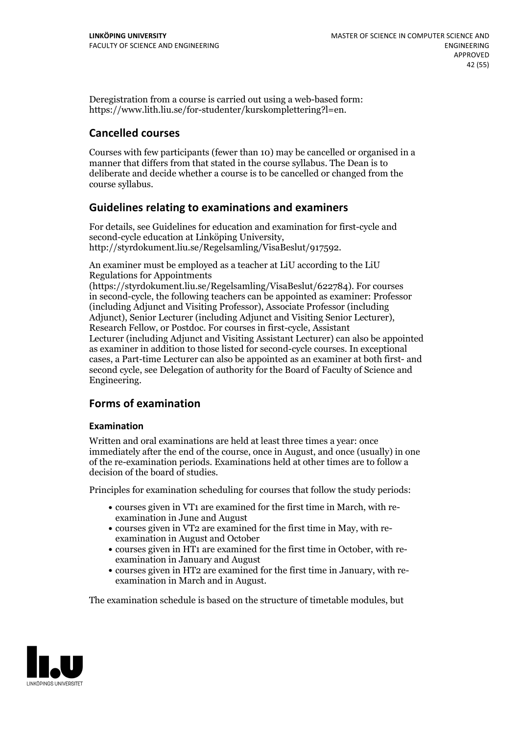Deregistration from a course is carried out using a web-based form: https://www.lith.liu.se/for-studenter/kurskomplettering?l=en.

# **Cancelled courses**

Courses with few participants (fewer than 10) may be cancelled or organised in a manner that differs from that stated in the course syllabus. The Dean is to deliberate and decide whether a course is to be cancelled or changed from the course syllabus.

# **Guidelines relatingto examinations and examiners**

For details, see Guidelines for education and examination for first-cycle and second-cycle education at Linköping University, http://styrdokument.liu.se/Regelsamling/VisaBeslut/917592.

An examiner must be employed as a teacher at LiU according to the LiU Regulations for Appointments

(https://styrdokument.liu.se/Regelsamling/VisaBeslut/622784). For courses in second-cycle, the following teachers can be appointed as examiner: Professor (including Adjunct and Visiting Professor), Associate Professor (including Adjunct), Senior Lecturer (including Adjunct and Visiting Senior Lecturer), Research Fellow, or Postdoc. For courses in first-cycle, Assistant Lecturer (including Adjunct and Visiting Assistant Lecturer) can also be appointed as examiner in addition to those listed for second-cycle courses. In exceptional cases, a Part-time Lecturer can also be appointed as an examiner at both first- and second cycle, see Delegation of authority for the Board of Faculty of Science and Engineering.

# **Forms of examination**

#### **Examination**

Written and oral examinations are held at least three times a year: once immediately after the end of the course, once in August, and once (usually) in one of the re-examination periods. Examinations held at other times are to follow a decision of the board of studies.

Principles for examination scheduling for courses that follow the study periods:

- courses given in VT1 are examined for the first time in March, with re-examination in June and August
- courses given in VT2 are examined for the first time in May, with re-examination in August and October
- courses given in HT1 are examined for the first time in October, with re-examination in January and August
- courses given in HT2 are examined for the first time in January, with re-examination in March and in August.

The examination schedule is based on the structure of timetable modules, but

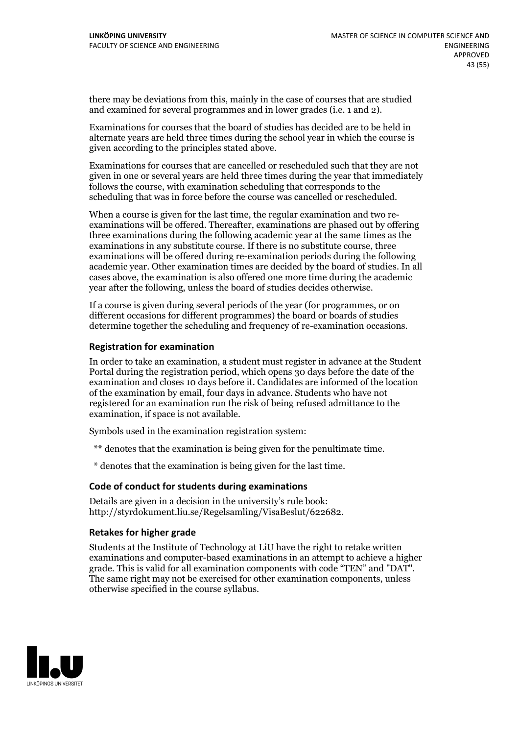there may be deviations from this, mainly in the case of courses that are studied and examined for several programmes and in lower grades (i.e. 1 and 2).

Examinations for courses that the board of studies has decided are to be held in alternate years are held three times during the school year in which the course is given according to the principles stated above.

Examinations for courses that are cancelled or rescheduled such that they are not given in one or several years are held three times during the year that immediately follows the course, with examination scheduling that corresponds to the scheduling that was in force before the course was cancelled or rescheduled.

When a course is given for the last time, the regular examination and two re-<br>examinations will be offered. Thereafter, examinations are phased out by offering three examinations during the following academic year at the same times as the examinations in any substitute course. If there is no substitute course, three examinations will be offered during re-examination periods during the following academic year. Other examination times are decided by the board of studies. In all cases above, the examination is also offered one more time during the academic year after the following, unless the board of studies decides otherwise.

If a course is given during several periods of the year (for programmes, or on different occasions for different programmes) the board or boards of studies determine together the scheduling and frequency of re-examination occasions.

#### **Registration for examination**

In order to take an examination, a student must register in advance at the Student Portal during the registration period, which opens 30 days before the date of the examination and closes 10 days before it. Candidates are informed of the location of the examination by email, four days in advance. Students who have not registered for an examination run the risk of being refused admittance to the examination, if space is not available.

Symbols used in the examination registration system:

\*\* denotes that the examination is being given for the penultimate time.

\* denotes that the examination is being given for the last time.

#### **Code of conduct for students during examinations**

Details are given in a decision in the university's rule book: http://styrdokument.liu.se/Regelsamling/VisaBeslut/622682.

#### **Retakes for higher grade**

Students at the Institute of Technology at LiU have the right to retake written examinations and computer-based examinations in an attempt to achieve a higher grade. This is valid for all examination components with code "TEN" and "DAT". The same right may not be exercised for other examination components, unless otherwise specified in the course syllabus.

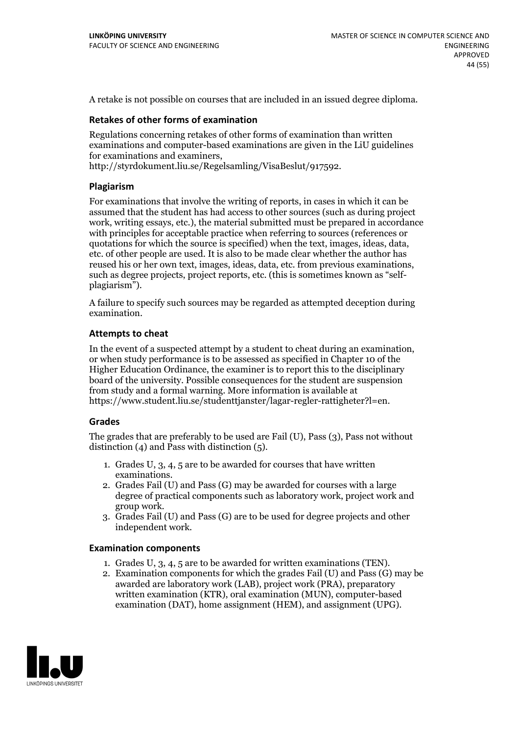A retake is not possible on courses that are included in an issued degree diploma.

#### **Retakes of other forms of examination**

Regulations concerning retakes of other forms of examination than written examinations and computer-based examinations are given in the LiU guidelines for examinations and examiners, http://styrdokument.liu.se/Regelsamling/VisaBeslut/917592.

#### **Plagiarism**

For examinations that involve the writing of reports, in cases in which it can be assumed that the student has had access to other sources (such as during project work, writing essays, etc.), the material submitted must be prepared in accordance with principles for acceptable practice when referring to sources (references or quotations for which the source is specified) when the text, images, ideas, data, etc. of other people are used. It is also to be made clear whether the author has reused his or her own text, images, ideas, data, etc. from previous examinations, such as degree projects, project reports, etc. (this is sometimes known as "self- plagiarism").

A failure to specify such sources may be regarded as attempted deception during examination.

#### **Attempts to cheat**

In the event of <sup>a</sup> suspected attempt by <sup>a</sup> student to cheat during an examination, or when study performance is to be assessed as specified in Chapter <sup>10</sup> of the Higher Education Ordinance, the examiner is to report this to the disciplinary board of the university. Possible consequences for the student are suspension from study and a formal warning. More information is available at https://www.student.liu.se/studenttjanster/lagar-regler-rattigheter?l=en.

#### **Grades**

The grades that are preferably to be used are Fail (U), Pass (3), Pass not without distinction  $(4)$  and Pass with distinction  $(5)$ .

- 1. Grades U, 3, 4, 5 are to be awarded for courses that have written
- examinations. 2. Grades Fail (U) and Pass (G) may be awarded for courses with <sup>a</sup> large degree of practical components such as laboratory work, project work and group work. 3. Grades Fail (U) and Pass (G) are to be used for degree projects and other
- independent work.

#### **Examination components**

- 1. Grades U, 3, 4, <sup>5</sup> are to be awarded for written examinations (TEN). 2. Examination components for which the grades Fail (U) and Pass (G) may be
- awarded are laboratory work (LAB), project work (PRA), preparatory written examination (KTR), oral examination (MUN), computer-based examination (DAT), home assignment (HEM), and assignment (UPG).

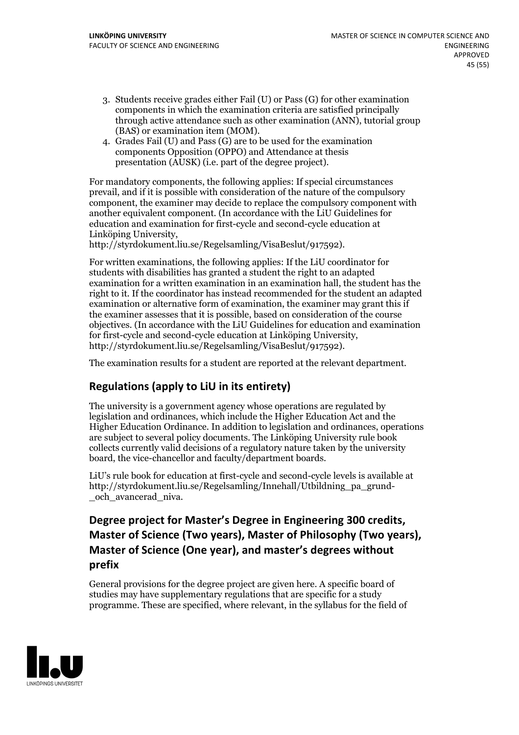- 3. Students receive grades either Fail (U) or Pass (G) for other examination components in which the examination criteria are satisfied principally through active attendance such as other examination (ANN), tutorial group
- (BAS) or examination item (MOM). 4. Grades Fail (U) and Pass (G) are to be used for the examination components Opposition (OPPO) and Attendance at thesis presentation (AUSK) (i.e. part of the degree project).

For mandatory components, the following applies: If special circumstances prevail, and if it is possible with consideration of the nature of the compulsory component, the examiner may decide to replace the compulsory component with another equivalent component. (In accordance with the LiU Guidelines for education and examination for first-cycle and second-cycle education at Linköping University, http://styrdokument.liu.se/Regelsamling/VisaBeslut/917592).

For written examinations, the following applies: If the LiU coordinator for students with disabilities has granted a student the right to an adapted examination for a written examination in an examination hall, the student has the right to it. If the coordinator has instead recommended for the student an adapted examination or alternative form of examination, the examiner may grant this if the examiner assesses that it is possible, based on consideration of the course objectives. (In accordance with the LiU Guidelines for education and examination for first-cycle and second-cycle education at Linköping University, http://styrdokument.liu.se/Regelsamling/VisaBeslut/917592).

The examination results for a student are reported at the relevant department.

# **Regulations (applyto LiU in its entirety)**

The university is a government agency whose operations are regulated by legislation and ordinances, which include the Higher Education Act and the Higher Education Ordinance. In addition to legislation and ordinances, operations are subject to several policy documents. The Linköping University rule book collects currently valid decisions of a regulatory nature taken by the university board, the vice-chancellor and faculty/department boards.

LiU's rule book for education at first-cycle and second-cycle levels is available at http://styrdokument.liu.se/Regelsamling/Innehall/Utbildning\_pa\_grund- \_och\_avancerad\_niva.

# Degree project for Master's Degree in Engineering 300 credits,<br>Master of Science (Two years), Master of Philosophy (Two years), **Master** of Science (One year), and master's degrees without **prefix**

General provisions for the degree project are given here. A specific board of studies may have supplementary regulations that are specific for a study programme. These are specified, where relevant, in the syllabus for the field of

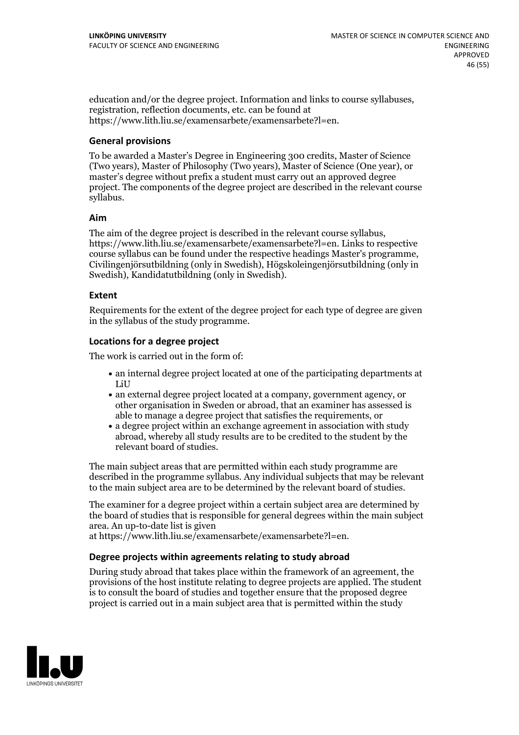education and/or the degree project. Information and links to course syllabuses, registration, reflection documents, etc. can be found at https://www.lith.liu.se/examensarbete/examensarbete?l=en.

#### **General provisions**

To be awarded a Master's Degree in Engineering 300 credits, Master of Science (Two years), Master of Philosophy (Two years), Master of Science (One year), or master's degree without prefix a student must carry out an approved degree project. The components of the degree project are described in the relevant course syllabus.

#### **Aim**

The aim of the degree project is described in the relevant course syllabus, https://www.lith.liu.se/examensarbete/examensarbete?l=en. Links to respective course syllabus can be found under the respective headings Master's programme, Civilingenjörsutbildning (only in Swedish), Högskoleingenjörsutbildning (only in Swedish), Kandidatutbildning (only in Swedish).

#### **Extent**

Requirements for the extent of the degree project for each type of degree are given in the syllabus of the study programme.

#### **Locations for a degree project**

The work is carried out in the form of:

- an internal degree project located at one of the participating departments at LiU
- an external degree project located at a company, government agency, or other organisation in Sweden or abroad, that an examiner has assessed is able to manage a degree project that satisfies the requirements, or
- a degree project within an exchange agreement in association with study abroad, whereby all study results are to be credited to the student by the relevant board of studies.

The main subject areas that are permitted within each study programme are described in the programme syllabus. Any individual subjects that may be relevant to the main subject area are to be determined by the relevant board of studies.

The examiner for a degree project within a certain subject area are determined by the board of studies that is responsible for general degrees within the main subject area. An up-to-date list is given

at https://www.lith.liu.se/examensarbete/examensarbete?l=en.

#### **Degree projects within agreements relatingto study abroad**

During study abroad that takes place within the framework of an agreement, the provisions of the host institute relating to degree projects are applied. The student is to consult the board of studies and together ensure that the proposed degree project is carried out in a main subject area that is permitted within the study

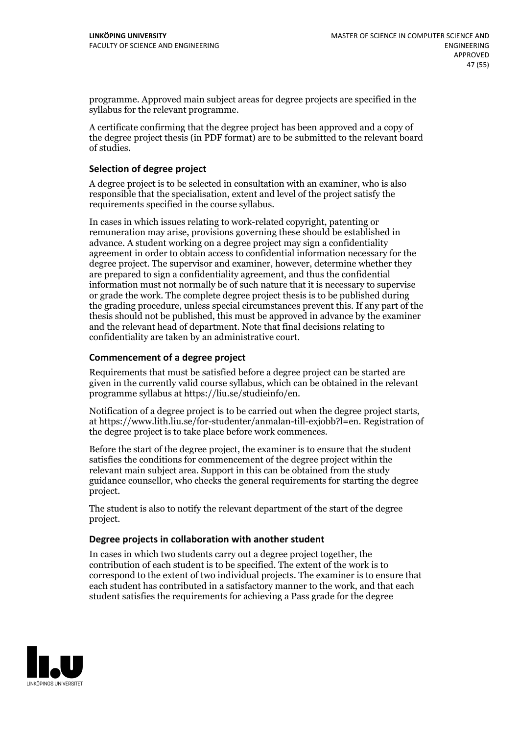programme. Approved main subject areas for degree projects are specified in the syllabus for the relevant programme.

A certificate confirming that the degree project has been approved and a copy of the degree project thesis (in PDF format) are to be submitted to the relevant board of studies.

#### **Selection of degree project**

A degree project is to be selected in consultation with an examiner, who is also responsible that the specialisation, extent and level of the project satisfy the requirements specified in the course syllabus.

In cases in which issues relating to work-related copyright, patenting or remuneration may arise, provisions governing these should be established in advance. A student working on a degree project may sign a confidentiality agreement in order to obtain access to confidential information necessary for the degree project. The supervisor and examiner, however, determine whether they are prepared to sign a confidentiality agreement, and thus the confidential information must not normally be of such nature that it is necessary to supervise or grade the work. The complete degree project thesis is to be published during the grading procedure, unless special circumstances prevent this. If any part of the thesis should not be published, this must be approved in advance by the examiner and the relevant head of department. Note that final decisions relating to confidentiality are taken by an administrative court.

#### **Commencement of a degree project**

Requirements that must be satisfied before a degree project can be started are given in the currently valid course syllabus, which can be obtained in the relevant programme syllabus at https://liu.se/studieinfo/en.

Notification of <sup>a</sup> degree project is to be carried outwhen the degree project starts, at https://www.lith.liu.se/for-studenter/anmalan-till-exjobb?l=en. Registration of the degree project is to take place before work commences.

Before the start of the degree project, the examiner is to ensure that the student satisfies the conditions for commencement of the degree project within the relevant main subject area. Support in this can be obtained from the study guidance counsellor, who checks the general requirements for starting the degree project.

The student is also to notify the relevant department of the start of the degree project.

#### **Degree projects in collaboration with another student**

In cases in which two students carry out a degree project together, the contribution of each student is to be specified. The extent of the work is to correspond to the extent of two individual projects. The examiner is to ensure that each student has contributed in a satisfactory manner to the work, and that each student satisfies the requirements for achieving a Pass grade for the degree

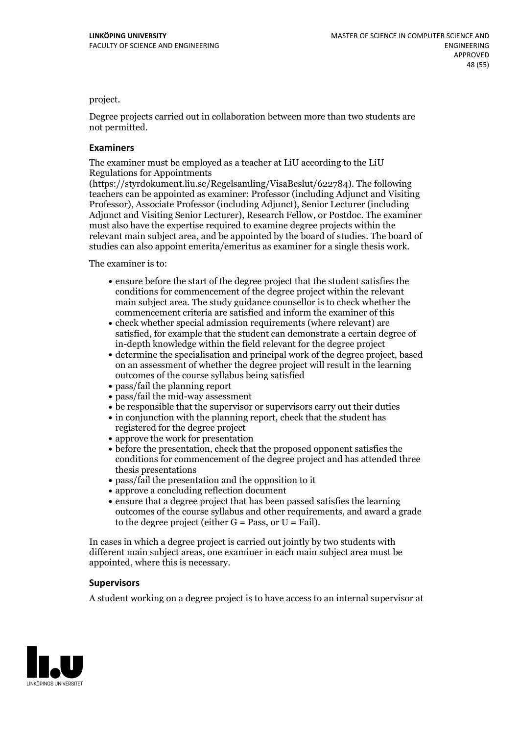project.

Degree projects carried out in collaboration between more than two students are not permitted.

#### **Examiners**

The examiner must be employed as a teacher at LiU according to the LiU Regulations for Appointments

(https://styrdokument.liu.se/Regelsamling/VisaBeslut/622784). The following teachers can be appointed as examiner: Professor (including Adjunct and Visiting Professor), Associate Professor (including Adjunct), Senior Lecturer (including Adjunct and Visiting Senior Lecturer), Research Fellow, or Postdoc. The examiner must also have the expertise required to examine degree projects within the relevant main subject area, and be appointed by the board of studies. The board of studies can also appoint emerita/emeritus as examiner for a single thesis work.

The examiner is to:

- ensure before the start of the degree project that the student satisfies the conditions for commencement of the degree project within the relevant main subject area. The study guidance counsellor is to check whether the commencement criteria are satisfied and inform the examiner of this
- check whether special admission requirements (where relevant) are satisfied, for example that the student can demonstrate a certain degree of in-depth knowledge within the field relevant for the degree project
- determine the specialisation and principal work of the degree project, based on an assessment of whether the degree project will result in the learning outcomes of the course syllabus being satisfied
- pass/fail the planning report
- pass/fail the mid-way assessment
- be responsible that the supervisor or supervisors carry out their duties
- in conjunction with the planning report, check that the student has registered for the degree project
- approve the work for presentation
- before the presentation, check that the proposed opponent satisfies the conditions for commencement of the degree project and has attended three thesis presentations
- pass/fail the presentation and the opposition to it
- approve a concluding reflection document
- ensure that a degree project that has been passed satisfies the learning outcomes of the course syllabus and other requirements, and award a grade to the degree project (either  $G = Pass$ , or  $U = Fail$ ).

In cases in which a degree project is carried out jointly by two students with different main subject areas, one examiner in each main subject area must be appointed, where this is necessary.

#### **Supervisors**

A student working on a degree project is to have access to an internal supervisor at

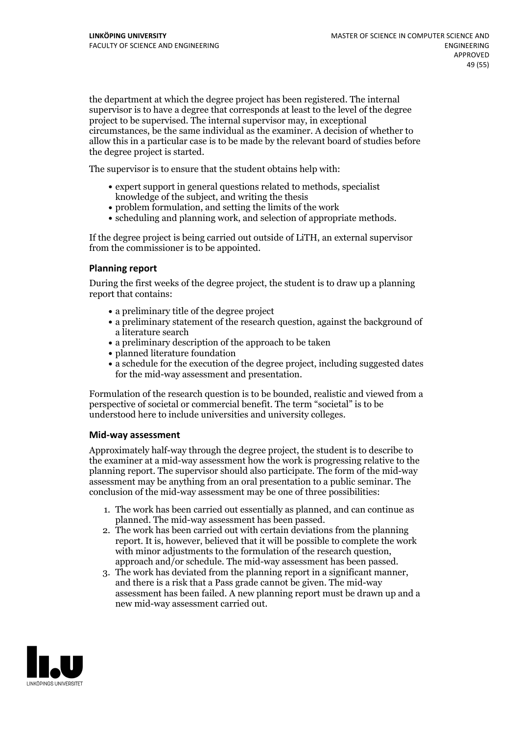the department at which the degree project has been registered. The internal supervisor is to have a degree that corresponds at least to the level of the degree project to be supervised. The internal supervisor may, in exceptional circumstances, be the same individual as the examiner. A decision of whether to allow this in a particular case is to be made by the relevant board of studies before the degree project is started.

The supervisor is to ensure that the student obtains help with:

- expert support in general questions related to methods, specialist knowledge of the subject, and writing the thesis
- problem formulation, and setting the limits of the work
- scheduling and planning work, and selection of appropriate methods.

If the degree project is being carried out outside of LiTH, an external supervisor from the commissioner is to be appointed.

#### **Planning report**

During the first weeks of the degree project, the student is to draw up a planning report that contains:

- $\bullet$  a preliminary title of the degree project
- a preliminary statement of the research question, against the background of a literature search
- a preliminary description of the approach to be taken
- planned literature foundation
- a schedule for the execution of the degree project, including suggested dates for the mid-way assessment and presentation.

Formulation of the research question is to be bounded, realistic and viewed from a perspective ofsocietal or commercial benefit. The term "societal" is to be understood here to include universities and university colleges.

#### **Mid-way assessment**

Approximately half-way through the degree project, the student is to describe to the examiner at a mid-way assessment how the work is progressing relative to the planning report. The supervisor should also participate. The form of the mid-way assessment may be anything from an oral presentation to a public seminar. The conclusion of the mid-way assessment may be one of three possibilities:

- 1. The work has been carried out essentially as planned, and can continue as planned. The mid-way assessment has been passed.
- 2. The work has been carried out with certain deviations from the planning report. It is, however, believed that it will be possible to complete the work with minor adjustments to the formulation of the research question,<br>approach and/or schedule. The mid-way assessment has been passed.<br>3. The work has deviated from the planning report in a significant manner,<br>and there is
- assessment has been failed. A new planning report must be drawn up and a new mid-way assessment carried out.

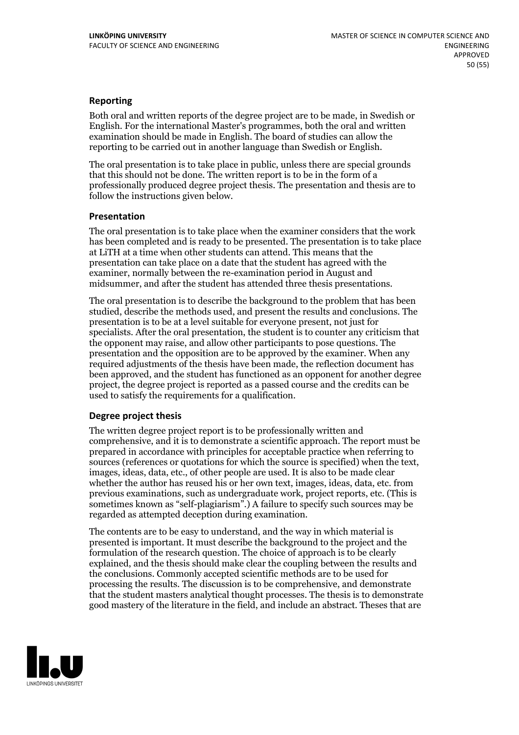#### **Reporting**

Both oral and written reports of the degree project are to be made, in Swedish or English. For the international Master's programmes, both the oral and written examination should be made in English. The board of studies can allow the reporting to be carried out in another language than Swedish or English.

The oral presentation is to take place in public, unless there are special grounds that this should not be done. The written report is to be in the form of a professionally produced degree project thesis. The presentation and thesis are to follow the instructions given below.

#### **Presentation**

The oral presentation is to take place when the examiner considers that the work has been completed and is ready to be presented. The presentation is to take place at LiTH at a time when other students can attend. This means that the presentation can take place on a date that the student has agreed with the examiner, normally between the re-examination period in August and midsummer, and after the student has attended three thesis presentations.

The oral presentation is to describe the background to the problem that has been studied, describe the methods used, and present the results and conclusions. The presentation is to be at a level suitable for everyone present, not just for specialists. After the oral presentation, the student is to counter any criticism that the opponent may raise, and allow other participants to pose questions. The presentation and the opposition are to be approved by the examiner. When any required adjustments of the thesis have been made, the reflection document has been approved, and the student has functioned as an opponent for another degree project, the degree project is reported as a passed course and the credits can be used to satisfy the requirements for a qualification.

#### **Degree project thesis**

The written degree project report is to be professionally written and comprehensive, and it is to demonstrate a scientific approach. The report must be prepared in accordance with principles for acceptable practice when referring to sources (references or quotations for which the source is specified) when the text, images, ideas, data, etc., of other people are used. It is also to be made clear whether the author has reused his or her own text, images, ideas, data, etc. from previous examinations, such asundergraduate work, project reports, etc. (This is sometimes known as"self-plagiarism".) A failure to specify such sources may be regarded as attempted deception during examination.

The contents are to be easy to understand, and the way in which material is presented is important. It must describe the background to the project and the formulation of the research question. The choice of approach is to be clearly explained, and the thesis should make clear the coupling between the results and the conclusions. Commonly accepted scientific methods are to be used for processing the results. The discussion is to be comprehensive, and demonstrate that the student masters analytical thought processes. The thesis is to demonstrate good mastery of the literature in the field, and include an abstract. Theses that are

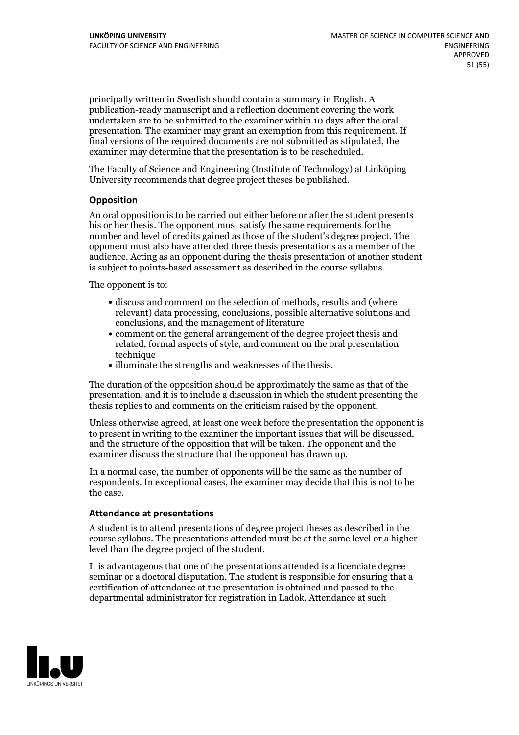principally written in Swedish should contain a summary in English. A publication-ready manuscript and a reflection document covering the work undertaken are to be submitted to the examiner within 10 days after the oral presentation. The examiner may grant an exemption from this requirement. If final versions of the required documents are not submitted as stipulated, the examiner may determine that the presentation is to be rescheduled.

The Faculty of Science and Engineering (Institute of Technology) at Linköping University recommends that degree project theses be published.

#### **Opposition**

An oral opposition is to be carried out either before or after the student presents his or her thesis. The opponent must satisfy the same requirements for the number and level of credits gained as those of the student's degree project. The opponent must also have attended three thesis presentations as a member of the audience. Acting as an opponent during the thesis presentation of another student is subject to points-based assessment as described in the course syllabus.

The opponent is to:

- discuss and comment on the selection of methods, results and (where relevant) data processing, conclusions, possible alternative solutions and conclusions, and the management of literature
- comment on the general arrangement of the degree project thesis and related, formal aspects of style, and comment on the oral presentation technique
- illuminate the strengths and weaknesses of the thesis.

The duration of the opposition should be approximately the same as that of the presentation, and it is to include a discussion in which the student presenting the thesis replies to and comments on the criticism raised by the opponent.

Unless otherwise agreed, at least one week before the presentation the opponent is to present in writing to the examiner the important issues that will be discussed, and the structure ofthe opposition that will be taken. The opponent and the examiner discuss the structure that the opponent has drawn up.

In a normal case, the number of opponents will be the same as the number of respondents. In exceptional cases, the examiner may decide that this is not to be the case.

#### **Attendance at presentations**

A student is to attend presentations of degree project theses as described in the course syllabus. The presentations attended must be at the same level or a higher level than the degree project of the student.

It is advantageous that one of the presentations attended is a licenciate degree seminar or a doctoral disputation. The student is responsible for ensuring that a certification of attendance at the presentation is obtained and passed to the departmental administrator for registration in Ladok. Attendance at such

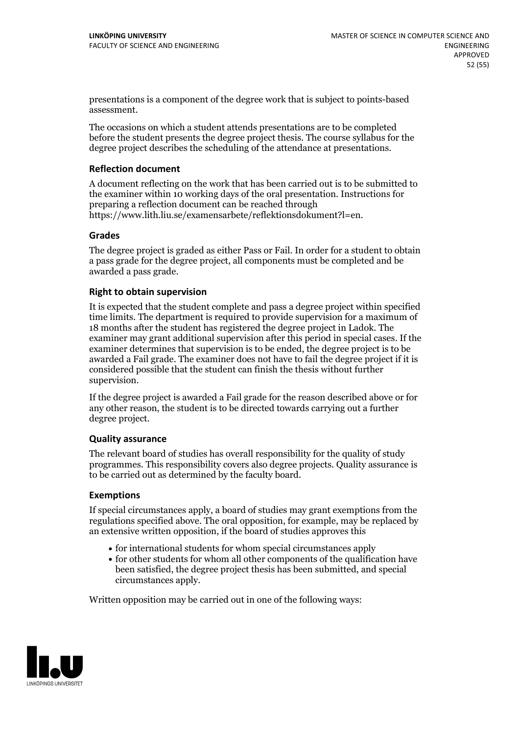presentations is a component of the degree work that is subject to points-based assessment.

The occasions on which a student attends presentations are to be completed before the student presents the degree project thesis. The course syllabus for the degree project describes the scheduling of the attendance at presentations.

#### **Reflection document**

A document reflecting on the work that has been carried outis to be submitted to the examiner within 10 working days of the oral presentation. Instructions for preparing a reflection document can be reached through https://www.lith.liu.se/examensarbete/reflektionsdokument?l=en.

#### **Grades**

The degree project is graded as either Pass or Fail. In order for a student to obtain a pass grade for the degree project, all components must be completed and be awarded a pass grade.

#### **Right to obtain supervision**

It is expected that the student complete and pass a degree project within specified time limits. The department is required to provide supervision for a maximum of 18 months after the student has registered the degree project in Ladok. The examiner may grant additional supervision after this period in special cases. If the examiner determines that supervision is to be ended, the degree project is to be awarded a Fail grade. The examiner does not have to fail the degree project if it is considered possible that the student can finish the thesis without further supervision.

If the degree project is awarded a Fail grade for the reason described above or for any other reason, the student is to be directed towards carrying out a further degree project.

#### **Quality assurance**

The relevant board of studies has overall responsibility for the quality of study programmes. This responsibility covers also degree projects. Quality assurance is to be carried out as determined by the faculty board.

#### **Exemptions**

If special circumstances apply, a board of studies may grant exemptions from the regulations specified above. The oral opposition, for example, may be replaced by an extensive written opposition, if the board of studies approves this

- for international students for whom special circumstances apply
- for other students for whom all other components of the qualification have been satisfied, the degree project thesis has been submitted, and special circumstances apply.

Written opposition may be carried out in one of the following ways:

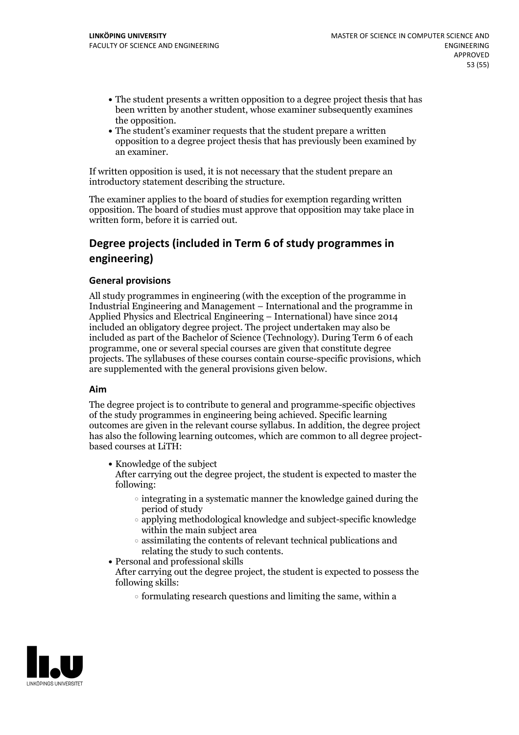- The student presents a written opposition to a degree project thesis that has been written by another student, whose examiner subsequently examines
- the opposition.<br>• The student's examiner requests that the student prepare a written opposition to a degree project thesis that has previously been examined by an examiner.

If written opposition is used, it is not necessary that the student prepare an introductory statement describing the structure.

The examiner applies to the board of studies for exemption regarding written opposition. The board of studies must approve that opposition may take place in written form, before it is carried out.

# **Degree projects (included in Term 6 of study programmes in engineering)**

#### **General provisions**

All study programmes in engineering (with the exception of the programme in Industrial Engineering and Management – International and the programme in Applied Physics and Electrical Engineering – International) have since 2014 included an obligatory degree project. The project undertaken may also be included as part of the Bachelor of Science (Technology). During Term 6 of each programme, one or several special courses are given that constitute degree projects. The syllabuses of these courses contain course-specific provisions, which are supplemented with the general provisions given below.

#### **Aim**

The degree project is to contribute to general and programme-specific objectives of the study programmes in engineering being achieved. Specific learning outcomes are given in the relevant course syllabus. In addition, the degree project has also the following learning outcomes, which are common to all degree project-<br>based courses at LiTH:

- Knowledge of the subject After carrying out the degree project, the student is expected to master the following:
	- $\circ$  integrating in a systematic manner the knowledge gained during the period of study
	- applying methodological knowledge and subject-specific knowledge within the main subject area
- $\circ$  assimilating the contents of relevant technical publications and relating the study to such contents.<br>• Personal and professional skills
	-
- After carrying out the degree project, the student is expected to possess the following skills:
	- $\circ$  formulating research questions and limiting the same, within a

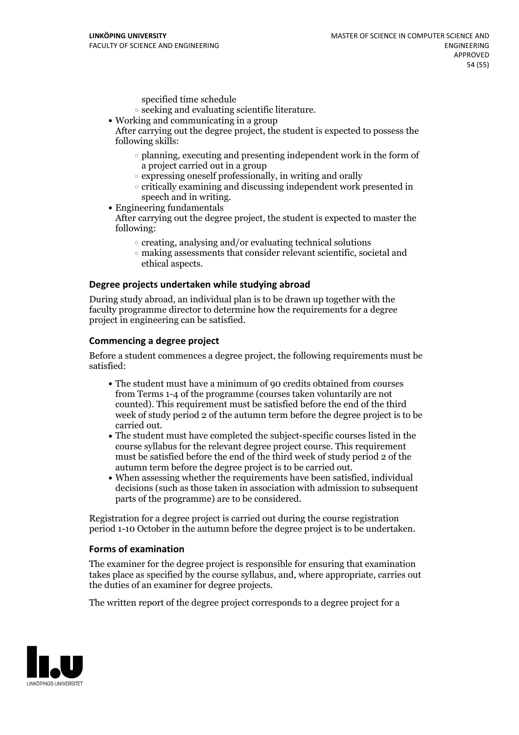specified time schedule

- $\circ$  seeking and evaluating scientific literature.<br>• Working and communicating in a group
- 

After carrying out the degree project, the student is expected to possess the following skills:

- planning, executing and presenting independent work in the form of a project carried out in a group
- $\circ$  expressing oneself professionally, in writing and orally
- $\circ$  critically examining and discussing independent work presented in speech and in writing.
- $\bullet$  Engineering fundamentals

After carrying out the degree project, the student is expected to master the following:

- $\circ$  creating, analysing and/or evaluating technical solutions
- making assessments that consider relevant scientific, societal and ethical aspects.

#### **Degree projects undertaken while studying abroad**

During study abroad, an individual plan is to be drawn up together with the faculty programme director to determine how the requirements for a degree project in engineering can be satisfied.

#### **Commencing a degree project**

Before a student commences a degree project, the following requirements must be satisfied:

- The student must have a minimum of 90 credits obtained from courses from Terms 1-4 of the programme (courses taken voluntarily are not counted). This requirement must be satisfied before the end of the third week of study period 2 of the autumn term before the degree project is to be
- carried out.<br>• The student must have completed the subject-specific courses listed in the course syllabus for the relevant degree project course. This requirement must be satisfied before the end of the third week of study period 2 of the autumn term before the degree project is to be carried out.<br>• When assessing whether the requirements have been satisfied, individual
- decisions (such as those taken in association with admission to subsequent parts of the programme) are to be considered.

Registration for a degree project is carried out during the course registration period 1-10 October in the autumn before the degree project is to be undertaken.

#### **Forms of examination**

The examiner for the degree project is responsible for ensuring that examination takes place as specified by the course syllabus, and, where appropriate, carries out the duties of an examiner for degree projects.

The written report of the degree project corresponds to a degree project for a